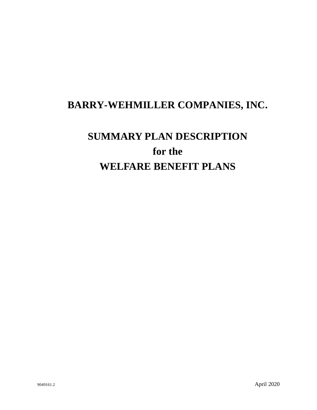# **BARRY-WEHMILLER COMPANIES, INC.**

# **SUMMARY PLAN DESCRIPTION for the WELFARE BENEFIT PLANS**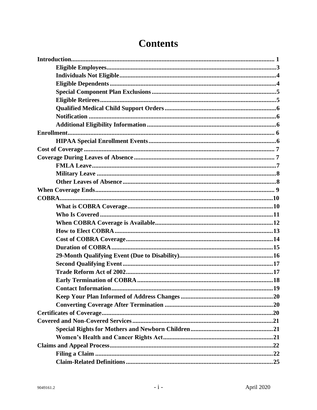# **Contents**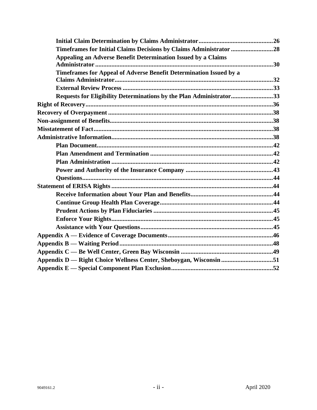| Timeframes for Initial Claims Decisions by Claims Administrator 28  |  |
|---------------------------------------------------------------------|--|
| Appealing an Adverse Benefit Determination Issued by a Claims       |  |
|                                                                     |  |
| Timeframes for Appeal of Adverse Benefit Determination Issued by a  |  |
|                                                                     |  |
|                                                                     |  |
| Requests for Eligibility Determinations by the Plan Administrator33 |  |
|                                                                     |  |
|                                                                     |  |
|                                                                     |  |
|                                                                     |  |
|                                                                     |  |
|                                                                     |  |
|                                                                     |  |
|                                                                     |  |
|                                                                     |  |
|                                                                     |  |
|                                                                     |  |
|                                                                     |  |
|                                                                     |  |
|                                                                     |  |
|                                                                     |  |
|                                                                     |  |
|                                                                     |  |
|                                                                     |  |
|                                                                     |  |
| Appendix D — Right Choice Wellness Center, Sheboygan, Wisconsin 51  |  |
|                                                                     |  |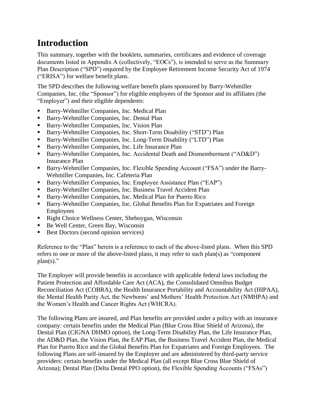# <span id="page-3-0"></span>**Introduction**

This summary, together with the booklets, summaries, certificates and evidence of coverage documents listed in Appendix A (collectively, "EOCs"), is intended to serve as the Summary Plan Description ("SPD") required by the Employee Retirement Income Security Act of 1974 ("ERISA") for welfare benefit plans.

The SPD describes the following welfare benefit plans sponsored by Barry-Wehmiller Companies, Inc. (the "Sponsor") for eligible employees of the Sponsor and its affiliates (the "Employer") and their eligible dependents:

- Barry-Wehmiller Companies, Inc. Medical Plan
- Barry-Wehmiller Companies, Inc. Dental Plan
- Barry-Wehmiller Companies, Inc. Vision Plan
- Barry-Wehmiller Companies, Inc. Short-Term Disability ("STD") Plan
- Barry-Wehmiller Companies, Inc. Long-Term Disability ("LTD") Plan
- Barry-Wehmiller Companies, Inc. Life Insurance Plan
- Barry-Wehmiller Companies, Inc. Accidental Death and Dismemberment ("AD&D") Insurance Plan
- Barry-Wehmiller Companies, Inc. Flexible Spending Account ("FSA") under the Barry-Wehmiller Companies, Inc. Cafeteria Plan
- Barry-Wehmiller Companies, Inc. Employee Assistance Plan ("EAP")
- **EXECUTE:** Barry-Wehmiller Companies, Inc. Business Travel Accident Plan
- Barry-Wehmiller Companies, Inc. Medical Plan for Puerto Rico
- Barry-Wehmiller Companies, Inc. Global Benefits Plan for Expatriates and Foreign Employees
- Right Choice Wellness Center, Sheboygan, Wisconsin
- Be Well Center, Green Bay, Wisconsin
- Best Doctors (second opinion services)

Reference to the "Plan" herein is a reference to each of the above-listed plans. When this SPD refers to one or more of the above-listed plans, it may refer to such plan(s) as "component  $plan(s)$ ."

The Employer will provide benefits in accordance with applicable federal laws including the Patient Protection and Affordable Care Act (ACA), the Consolidated Omnibus Budget Reconciliation Act (COBRA), the Health Insurance Portability and Accountability Act (HIPAA), the Mental Health Parity Act, the Newborns' and Mothers' Health Protection Act (NMHPA) and the Women's Health and Cancer Rights Act (WHCRA).

The following Plans are insured, and Plan benefits are provided under a policy with an insurance company: certain benefits under the Medical Plan (Blue Cross Blue Shield of Arizona), the Dental Plan (CIGNA DHMO option), the Long-Term Disability Plan, the Life Insurance Plan, the AD&D Plan, the Vision Plan, the EAP Plan, the Business Travel Accident Plan, the Medical Plan for Puerto Rico and the Global Benefits Plan for Expatriates and Foreign Employees. The following Plans are self-insured by the Employer and are administered by third-party service providers: certain benefits under the Medical Plan (all except Blue Cross Blue Shield of Arizona); Dental Plan (Delta Dental PPO option), the Flexible Spending Accounts ("FSAs")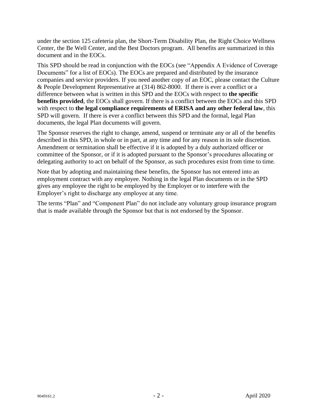under the section 125 cafeteria plan, the Short-Term Disability Plan, the Right Choice Wellness Center, the Be Well Center, and the Best Doctors program. All benefits are summarized in this document and in the EOCs.

This SPD should be read in conjunction with the EOCs (see "Appendix A Evidence of Coverage Documents" for a list of EOCs). The EOCs are prepared and distributed by the insurance companies and service providers. If you need another copy of an EOC, please contact the Culture & People Development Representative at (314) 862-8000. If there is ever a conflict or a difference between what is written in this SPD and the EOCs with respect to **the specific benefits provided**, the EOCs shall govern. If there is a conflict between the EOCs and this SPD with respect to **the legal compliance requirements of ERISA and any other federal law**, this SPD will govern. If there is ever a conflict between this SPD and the formal, legal Plan documents, the legal Plan documents will govern.

The Sponsor reserves the right to change, amend, suspend or terminate any or all of the benefits described in this SPD, in whole or in part, at any time and for any reason in its sole discretion. Amendment or termination shall be effective if it is adopted by a duly authorized officer or committee of the Sponsor, or if it is adopted pursuant to the Sponsor's procedures allocating or delegating authority to act on behalf of the Sponsor, as such procedures exist from time to time.

Note that by adopting and maintaining these benefits, the Sponsor has not entered into an employment contract with any employee. Nothing in the legal Plan documents or in the SPD gives any employee the right to be employed by the Employer or to interfere with the Employer's right to discharge any employee at any time.

The terms "Plan" and "Component Plan" do not include any voluntary group insurance program that is made available through the Sponsor but that is not endorsed by the Sponsor.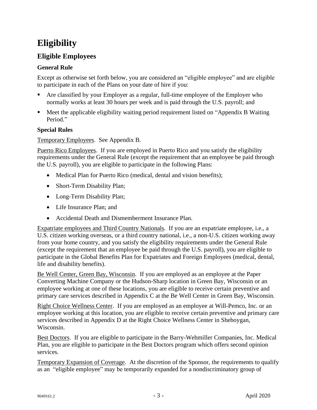# **Eligibility**

### <span id="page-5-0"></span>**Eligible Employees**

### **General Rule**

Except as otherwise set forth below, you are considered an "eligible employee" and are eligible to participate in each of the Plans on your date of hire if you:

- Are classified by your Employer as a regular, full-time employee of the Employer who normally works at least 30 hours per week and is paid through the U.S. payroll; and
- Meet the applicable eligibility waiting period requirement listed on "Appendix B Waiting Period."

### **Special Rules**

Temporary Employees. See Appendix B.

Puerto Rico Employees. If you are employed in Puerto Rico and you satisfy the eligibility requirements under the General Rule (except the requirement that an employee be paid through the U.S. payroll), you are eligible to participate in the following Plans:

- Medical Plan for Puerto Rico (medical, dental and vision benefits);
- Short-Term Disability Plan;
- Long-Term Disability Plan;
- Life Insurance Plan; and
- Accidental Death and Dismemberment Insurance Plan.

Expatriate employees and Third Country Nationals. If you are an expatriate employee, i.e., a U.S. citizen working overseas, or a third country national, i.e., a non-U.S. citizen working away from your home country, and you satisfy the eligibility requirements under the General Rule (except the requirement that an employee be paid through the U.S. payroll), you are eligible to participate in the Global Benefits Plan for Expatriates and Foreign Employees (medical, dental, life and disability benefits).

Be Well Center, Green Bay, Wisconsin. If you are employed as an employee at the Paper Converting Machine Company or the Hudson-Sharp location in Green Bay, Wisconsin or an employee working at one of these locations, you are eligible to receive certain preventive and primary care services described in Appendix C at the Be Well Center in Green Bay, Wisconsin.

Right Choice Wellness Center. If you are employed as an employee at Will-Pemco, Inc. or an employee working at this location, you are eligible to receive certain preventive and primary care services described in Appendix D at the Right Choice Wellness Center in Sheboygan, Wisconsin.

Best Doctors. If you are eligible to participate in the Barry-Wehmiller Companies, Inc. Medical Plan, you are eligible to participate in the Best Doctors program which offers second opinion services.

Temporary Expansion of Coverage. At the discretion of the Sponsor, the requirements to qualify as an "eligible employee" may be temporarily expanded for a nondiscriminatory group of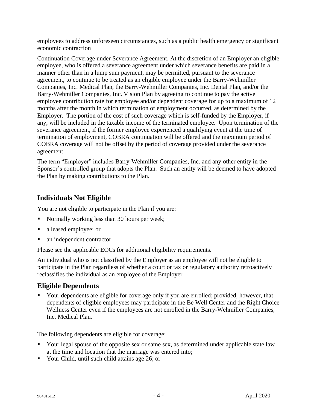employees to address unforeseen circumstances, such as a public health emergency or significant economic contraction

Continuation Coverage under Severance Agreement. At the discretion of an Employer an eligible employee, who is offered a severance agreement under which severance benefits are paid in a manner other than in a lump sum payment, may be permitted, pursuant to the severance agreement, to continue to be treated as an eligible employee under the Barry-Wehmiller Companies, Inc. Medical Plan, the Barry-Wehmiller Companies, Inc. Dental Plan, and/or the Barry-Wehmiller Companies, Inc. Vision Plan by agreeing to continue to pay the active employee contribution rate for employee and/or dependent coverage for up to a maximum of 12 months after the month in which termination of employment occurred, as determined by the Employer. The portion of the cost of such coverage which is self-funded by the Employer, if any, will be included in the taxable income of the terminated employee. Upon termination of the severance agreement, if the former employee experienced a qualifying event at the time of termination of employment, COBRA continuation will be offered and the maximum period of COBRA coverage will not be offset by the period of coverage provided under the severance agreement.

The term "Employer" includes Barry-Wehmiller Companies, Inc. and any other entity in the Sponsor's controlled group that adopts the Plan. Such an entity will be deemed to have adopted the Plan by making contributions to the Plan.

### <span id="page-6-0"></span>**Individuals Not Eligible**

You are not eligible to participate in the Plan if you are:

- Normally working less than 30 hours per week;
- a leased employee; or
- an independent contractor.

Please see the applicable EOCs for additional eligibility requirements.

An individual who is not classified by the Employer as an employee will not be eligible to participate in the Plan regardless of whether a court or tax or regulatory authority retroactively reclassifies the individual as an employee of the Employer.

### <span id="page-6-1"></span>**Eligible Dependents**

**•** Your dependents are eligible for coverage only if you are enrolled; provided, however, that dependents of eligible employees may participate in the Be Well Center and the Right Choice Wellness Center even if the employees are not enrolled in the Barry-Wehmiller Companies, Inc. Medical Plan.

The following dependents are eligible for coverage:

- Your legal spouse of the opposite sex or same sex, as determined under applicable state law at the time and location that the marriage was entered into;
- Your Child, until such child attains age 26; or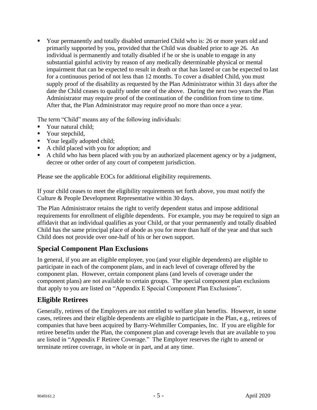■ Your permanently and totally disabled unmarried Child who is: 26 or more years old and primarily supported by you, provided that the Child was disabled prior to age 26. An individual is permanently and totally disabled if he or she is unable to engage in any substantial gainful activity by reason of any medically determinable physical or mental impairment that can be expected to result in death or that has lasted or can be expected to last for a continuous period of not less than 12 months. To cover a disabled Child, you must supply proof of the disability as requested by the Plan Administrator within 31 days after the date the Child ceases to qualify under one of the above. During the next two years the Plan Administrator may require proof of the continuation of the condition from time to time. After that, the Plan Administrator may require proof no more than once a year.

The term "Child" means any of the following individuals:

- Your natural child;
- **•** Your stepchild,
- Your legally adopted child;
- A child placed with you for adoption; and
- A child who has been placed with you by an authorized placement agency or by a judgment, decree or other order of any court of competent jurisdiction.

Please see the applicable EOCs for additional eligibility requirements.

If your child ceases to meet the eligibility requirements set forth above, you must notify the Culture & People Development Representative within 30 days.

The Plan Administrator retains the right to verify dependent status and impose additional requirements for enrollment of eligible dependents. For example, you may be required to sign an affidavit that an individual qualifies as your Child, or that your permanently and totally disabled Child has the same principal place of abode as you for more than half of the year and that such Child does not provide over one-half of his or her own support.

### <span id="page-7-0"></span>**Special Component Plan Exclusions**

In general, if you are an eligible employee, you (and your eligible dependents) are eligible to participate in each of the component plans, and in each level of coverage offered by the component plan. However, certain component plans (and levels of coverage under the component plans) are not available to certain groups. The special component plan exclusions that apply to you are listed on "Appendix E Special Component Plan Exclusions".

### <span id="page-7-1"></span>**Eligible Retirees**

Generally, retirees of the Employers are not entitled to welfare plan benefits. However, in some cases, retirees and their eligible dependents are eligible to participate in the Plan, e.g., retirees of companies that have been acquired by Barry-Wehmiller Companies, Inc. If you are eligible for retiree benefits under the Plan, the component plan and coverage levels that are available to you are listed in "Appendix F Retiree Coverage." The Employer reserves the right to amend or terminate retiree coverage, in whole or in part, and at any time.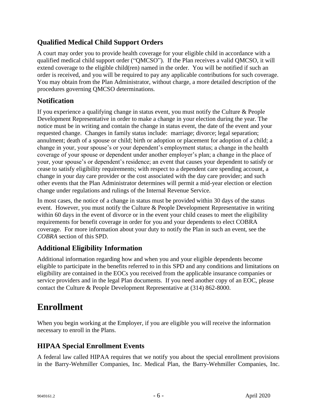## <span id="page-8-0"></span>**Qualified Medical Child Support Orders**

A court may order you to provide health coverage for your eligible child in accordance with a qualified medical child support order ("QMCSO"). If the Plan receives a valid QMCSO, it will extend coverage to the eligible child(ren) named in the order. You will be notified if such an order is received, and you will be required to pay any applicable contributions for such coverage. You may obtain from the Plan Administrator, without charge, a more detailed description of the procedures governing QMCSO determinations.

### <span id="page-8-1"></span>**Notification**

If you experience a qualifying change in status event, you must notify the Culture & People Development Representative in order to make a change in your election during the year. The notice must be in writing and contain the change in status event, the date of the event and your requested change. Changes in family status include: marriage; divorce; legal separation; annulment; death of a spouse or child; birth or adoption or placement for adoption of a child; a change in your, your spouse's or your dependent's employment status; a change in the health coverage of your spouse or dependent under another employer's plan; a change in the place of your, your spouse's or dependent's residence; an event that causes your dependent to satisfy or cease to satisfy eligibility requirements; with respect to a dependent care spending account, a change in your day care provider or the cost associated with the day care provider; and such other events that the Plan Administrator determines will permit a mid-year election or election change under regulations and rulings of the Internal Revenue Service.

In most cases, the notice of a change in status must be provided within 30 days of the status event. However, you must notify the Culture & People Development Representative in writing within 60 days in the event of divorce or in the event your child ceases to meet the eligibility requirements for benefit coverage in order for you and your dependents to elect COBRA coverage. For more information about your duty to notify the Plan in such an event, see the *COBRA* section of this SPD.

### <span id="page-8-2"></span>**Additional Eligibility Information**

Additional information regarding how and when you and your eligible dependents become eligible to participate in the benefits referred to in this SPD and any conditions and limitations on eligibility are contained in the EOCs you received from the applicable insurance companies or service providers and in the legal Plan documents. If you need another copy of an EOC, please contact the Culture & People Development Representative at (314) 862-8000.

## <span id="page-8-3"></span>**Enrollment**

When you begin working at the Employer, if you are eligible you will receive the information necessary to enroll in the Plans.

### <span id="page-8-4"></span>**HIPAA Special Enrollment Events**

A federal law called HIPAA requires that we notify you about the special enrollment provisions in the Barry-Wehmiller Companies, Inc. Medical Plan, the Barry-Wehmiller Companies, Inc.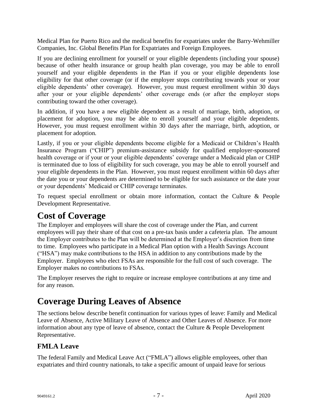Medical Plan for Puerto Rico and the medical benefits for expatriates under the Barry-Wehmiller Companies, Inc. Global Benefits Plan for Expatriates and Foreign Employees.

If you are declining enrollment for yourself or your eligible dependents (including your spouse) because of other health insurance or group health plan coverage, you may be able to enroll yourself and your eligible dependents in the Plan if you or your eligible dependents lose eligibility for that other coverage (or if the employer stops contributing towards your or your eligible dependents' other coverage). However, you must request enrollment within 30 days after your or your eligible dependents' other coverage ends (or after the employer stops contributing toward the other coverage).

In addition, if you have a new eligible dependent as a result of marriage, birth, adoption, or placement for adoption, you may be able to enroll yourself and your eligible dependents. However, you must request enrollment within 30 days after the marriage, birth, adoption, or placement for adoption.

Lastly, if you or your eligible dependents become eligible for a Medicaid or Children's Health Insurance Program ("CHIP") premium-assistance subsidy for qualified employer-sponsored health coverage or if your or your eligible dependents' coverage under a Medicaid plan or CHIP is terminated due to loss of eligibility for such coverage, you may be able to enroll yourself and your eligible dependents in the Plan. However, you must request enrollment within 60 days after the date you or your dependents are determined to be eligible for such assistance or the date your or your dependents' Medicaid or CHIP coverage terminates.

To request special enrollment or obtain more information, contact the Culture & People Development Representative.

## <span id="page-9-0"></span>**Cost of Coverage**

The Employer and employees will share the cost of coverage under the Plan, and current employees will pay their share of that cost on a pre-tax basis under a cafeteria plan. The amount the Employer contributes to the Plan will be determined at the Employer's discretion from time to time. Employees who participate in a Medical Plan option with a Health Savings Account ("HSA") may make contributions to the HSA in addition to any contributions made by the Employer. Employees who elect FSAs are responsible for the full cost of such coverage. The Employer makes no contributions to FSAs.

The Employer reserves the right to require or increase employee contributions at any time and for any reason.

## <span id="page-9-1"></span>**Coverage During Leaves of Absence**

The sections below describe benefit continuation for various types of leave: Family and Medical Leave of Absence, Active Military Leave of Absence and Other Leaves of Absence. For more information about any type of leave of absence, contact the Culture & People Development Representative.

### <span id="page-9-2"></span>**FMLA Leave**

The federal Family and Medical Leave Act ("FMLA") allows eligible employees, other than expatriates and third country nationals, to take a specific amount of unpaid leave for serious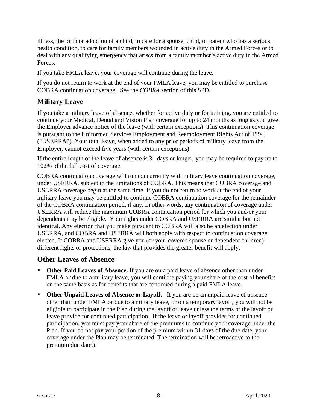illness, the birth or adoption of a child, to care for a spouse, child, or parent who has a serious health condition, to care for family members wounded in active duty in the Armed Forces or to deal with any qualifying emergency that arises from a family member's active duty in the Armed Forces.

If you take FMLA leave, your coverage will continue during the leave.

If you do not return to work at the end of your FMLA leave, you may be entitled to purchase COBRA continuation coverage. See the *COBRA* section of this SPD.

### <span id="page-10-0"></span>**Military Leave**

If you take a military leave of absence, whether for active duty or for training, you are entitled to continue your Medical, Dental and Vision Plan coverage for up to 24 months as long as you give the Employer advance notice of the leave (with certain exceptions). This continuation coverage is pursuant to the Uniformed Services Employment and Reemployment Rights Act of 1994 ("USERRA"). Your total leave, when added to any prior periods of military leave from the Employer, cannot exceed five years (with certain exceptions).

If the entire length of the leave of absence is 31 days or longer, you may be required to pay up to 102% of the full cost of coverage.

COBRA continuation coverage will run concurrently with military leave continuation coverage, under USERRA, subject to the limitations of COBRA. This means that COBRA coverage and USERRA coverage begin at the same time. If you do not return to work at the end of your military leave you may be entitled to continue COBRA continuation coverage for the remainder of the COBRA continuation period, if any. In other words, any continuation of coverage under USERRA will reduce the maximum COBRA continuation period for which you and/or your dependents may be eligible. Your rights under COBRA and USERRA are similar but not identical. Any election that you make pursuant to COBRA will also be an election under USERRA, and COBRA and USERRA will both apply with respect to continuation coverage elected. If COBRA and USERRA give you (or your covered spouse or dependent children) different rights or protections, the law that provides the greater benefit will apply.

### <span id="page-10-1"></span>**Other Leaves of Absence**

- **Other Paid Leaves of Absence.** If you are on a paid leave of absence other than under FMLA or due to a military leave, you will continue paying your share of the cost of benefits on the same basis as for benefits that are continued during a paid FMLA leave.
- **Other Unpaid Leaves of Absence or Layoff.** If you are on an unpaid leave of absence other than under FMLA or due to a miliary leave, or on a temporary layoff, you will not be eligible to participate in the Plan during the layoff or leave unless the terms of the layoff or leave provide for continued participation. If the leave or layoff provides for continued participation, you must pay your share of the premiums to continue your coverage under the Plan. If you do not pay your portion of the premium within 31 days of the due date, your coverage under the Plan may be terminated. The termination will be retroactive to the premium due date.).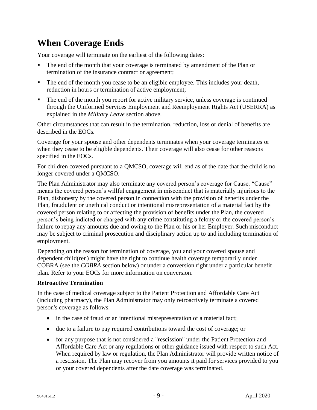# <span id="page-11-0"></span>**When Coverage Ends**

Your coverage will terminate on the earliest of the following dates:

- The end of the month that your coverage is terminated by amendment of the Plan or termination of the insurance contract or agreement;
- The end of the month you cease to be an eligible employee. This includes your death, reduction in hours or termination of active employment;
- The end of the month you report for active military service, unless coverage is continued through the Uniformed Services Employment and Reemployment Rights Act (USERRA) as explained in the *Military Leave* section above.

Other circumstances that can result in the termination, reduction, loss or denial of benefits are described in the EOCs.

Coverage for your spouse and other dependents terminates when your coverage terminates or when they cease to be eligible dependents. Their coverage will also cease for other reasons specified in the EOCs.

For children covered pursuant to a QMCSO, coverage will end as of the date that the child is no longer covered under a QMCSO.

The Plan Administrator may also terminate any covered person's coverage for Cause. "Cause" means the covered person's willful engagement in misconduct that is materially injurious to the Plan, dishonesty by the covered person in connection with the provision of benefits under the Plan, fraudulent or unethical conduct or intentional misrepresentation of a material fact by the covered person relating to or affecting the provision of benefits under the Plan, the covered person's being indicted or charged with any crime constituting a felony or the covered person's failure to repay any amounts due and owing to the Plan or his or her Employer. Such misconduct may be subject to criminal prosecution and disciplinary action up to and including termination of employment.

Depending on the reason for termination of coverage, you and your covered spouse and dependent child(ren) might have the right to continue health coverage temporarily under COBRA (see the *COBRA* section below) or under a conversion right under a particular benefit plan. Refer to your EOCs for more information on conversion.

#### **Retroactive Termination**

In the case of medical coverage subject to the Patient Protection and Affordable Care Act (including pharmacy), the Plan Administrator may only retroactively terminate a covered person's coverage as follows:

- in the case of fraud or an intentional misrepresentation of a material fact;
- due to a failure to pay required contributions toward the cost of coverage; or
- for any purpose that is not considered a "rescission" under the Patient Protection and Affordable Care Act or any regulations or other guidance issued with respect to such Act. When required by law or regulation, the Plan Administrator will provide written notice of a rescission. The Plan may recover from you amounts it paid for services provided to you or your covered dependents after the date coverage was terminated.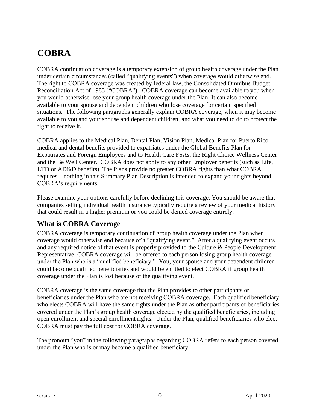# <span id="page-12-0"></span>**COBRA**

COBRA continuation coverage is a temporary extension of group health coverage under the Plan under certain circumstances (called "qualifying events") when coverage would otherwise end. The right to COBRA coverage was created by federal law, the Consolidated Omnibus Budget Reconciliation Act of 1985 ("COBRA"). COBRA coverage can become available to you when you would otherwise lose your group health coverage under the Plan. It can also become available to your spouse and dependent children who lose coverage for certain specified situations. The following paragraphs generally explain COBRA coverage, when it may become available to you and your spouse and dependent children, and what you need to do to protect the right to receive it.

COBRA applies to the Medical Plan, Dental Plan, Vision Plan, Medical Plan for Puerto Rico, medical and dental benefits provided to expatriates under the Global Benefits Plan for Expatriates and Foreign Employees and to Health Care FSAs, the Right Choice Wellness Center and the Be Well Center. COBRA does not apply to any other Employer benefits (such as Life, LTD or AD&D benefits). The Plans provide no greater COBRA rights than what COBRA requires – nothing in this Summary Plan Description is intended to expand your rights beyond COBRA's requirements.

Please examine your options carefully before declining this coverage. You should be aware that companies selling individual health insurance typically require a review of your medical history that could result in a higher premium or you could be denied coverage entirely.

### <span id="page-12-1"></span>**What is COBRA Coverage**

COBRA coverage is temporary continuation of group health coverage under the Plan when coverage would otherwise end because of a "qualifying event." After a qualifying event occurs and any required notice of that event is properly provided to the Culture & People Development Representative, COBRA coverage will be offered to each person losing group health coverage under the Plan who is a "qualified beneficiary." You, your spouse and your dependent children could become qualified beneficiaries and would be entitled to elect COBRA if group health coverage under the Plan is lost because of the qualifying event.

COBRA coverage is the same coverage that the Plan provides to other participants or beneficiaries under the Plan who are not receiving COBRA coverage. Each qualified beneficiary who elects COBRA will have the same rights under the Plan as other participants or beneficiaries covered under the Plan's group health coverage elected by the qualified beneficiaries, including open enrollment and special enrollment rights. Under the Plan, qualified beneficiaries who elect COBRA must pay the full cost for COBRA coverage.

The pronoun "you" in the following paragraphs regarding COBRA refers to each person covered under the Plan who is or may become a qualified beneficiary.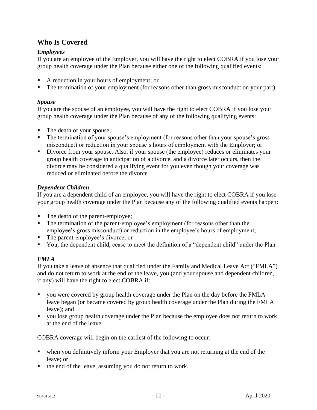## <span id="page-13-0"></span>**Who Is Covered**

### *Employees*

If you are an employee of the Employer, you will have the right to elect COBRA if you lose your group health coverage under the Plan because either one of the following qualified events:

- A reduction in your hours of employment; or
- The termination of your employment (for reasons other than gross misconduct on your part).

#### *Spouse*

If you are the spouse of an employee, you will have the right to elect COBRA if you lose your group health coverage under the Plan because of any of the following qualifying events:

- The death of your spouse;
- **•** The termination of your spouse's employment (for reasons other than your spouse's gross misconduct) or reduction in your spouse's hours of employment with the Employer; or
- Divorce from your spouse. Also, if your spouse (the employee) reduces or eliminates your group health coverage in anticipation of a divorce, and a divorce later occurs, then the divorce may be considered a qualifying event for you even though your coverage was reduced or eliminated before the divorce.

### *Dependent Children*

If you are a dependent child of an employee, you will have the right to elect COBRA if you lose your group health coverage under the Plan because any of the following qualified events happen:

- The death of the parent-employee;
- The termination of the parent-employee's employment (for reasons other than the employee's gross misconduct) or reduction in the employee's hours of employment;
- The parent-employee's divorce; or
- You, the dependent child, cease to meet the definition of a "dependent child" under the Plan.

### *FMLA*

If you take a leave of absence that qualified under the Family and Medical Leave Act ("FMLA") and do not return to work at the end of the leave, you (and your spouse and dependent children, if any) will have the right to elect COBRA if:

- you were covered by group health coverage under the Plan on the day before the FMLA leave began (or became covered by group health coverage under the Plan during the FMLA leave); and
- you lose group health coverage under the Plan because the employee does not return to work at the end of the leave.

COBRA coverage will begin on the earliest of the following to occur:

- when you definitively inform your Employer that you are not returning at the end of the leave; or
- the end of the leave, assuming you do not return to work.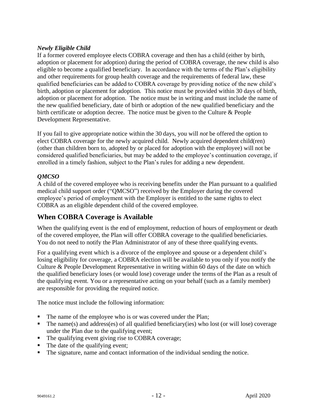#### *Newly Eligible Child*

If a former covered employee elects COBRA coverage and then has a child (either by birth, adoption or placement for adoption) during the period of COBRA coverage, the new child is also eligible to become a qualified beneficiary. In accordance with the terms of the Plan's eligibility and other requirements for group health coverage and the requirements of federal law, these qualified beneficiaries can be added to COBRA coverage by providing notice of the new child's birth, adoption or placement for adoption. This notice must be provided within 30 days of birth, adoption or placement for adoption. The notice must be in writing and must include the name of the new qualified beneficiary, date of birth or adoption of the new qualified beneficiary and the birth certificate or adoption decree. The notice must be given to the Culture & People Development Representative.

If you fail to give appropriate notice within the 30 days, you will *not* be offered the option to elect COBRA coverage for the newly acquired child. Newly acquired dependent child(ren) (other than children born to, adopted by or placed for adoption with the employee) will not be considered qualified beneficiaries, but may be added to the employee's continuation coverage, if enrolled in a timely fashion, subject to the Plan's rules for adding a new dependent.

### *QMCSO*

A child of the covered employee who is receiving benefits under the Plan pursuant to a qualified medical child support order ("QMCSO") received by the Employer during the covered employee's period of employment with the Employer is entitled to the same rights to elect COBRA as an eligible dependent child of the covered employee.

### <span id="page-14-0"></span>**When COBRA Coverage is Available**

When the qualifying event is the end of employment, reduction of hours of employment or death of the covered employee, the Plan will offer COBRA coverage to the qualified beneficiaries. You do not need to notify the Plan Administrator of any of these three qualifying events.

For a qualifying event which is a divorce of the employee and spouse or a dependent child's losing eligibility for coverage, a COBRA election will be available to you only if you notify the Culture & People Development Representative in writing within 60 days of the date on which the qualified beneficiary loses (or would lose) coverage under the terms of the Plan as a result of the qualifying event. You or a representative acting on your behalf (such as a family member) are responsible for providing the required notice.

The notice must include the following information:

- The name of the employee who is or was covered under the Plan;
- The name(s) and address(es) of all qualified beneficiary(ies) who lost (or will lose) coverage under the Plan due to the qualifying event;
- The qualifying event giving rise to COBRA coverage;
- The date of the qualifying event;
- The signature, name and contact information of the individual sending the notice.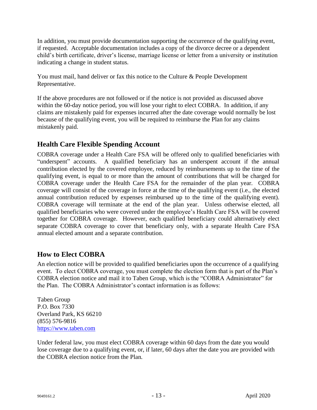In addition, you must provide documentation supporting the occurrence of the qualifying event, if requested. Acceptable documentation includes a copy of the divorce decree or a dependent child's birth certificate, driver's license, marriage license or letter from a university or institution indicating a change in student status.

You must mail, hand deliver or fax this notice to the Culture & People Development Representative.

If the above procedures are not followed or if the notice is not provided as discussed above within the 60-day notice period, you will lose your right to elect COBRA. In addition, if any claims are mistakenly paid for expenses incurred after the date coverage would normally be lost because of the qualifying event, you will be required to reimburse the Plan for any claims mistakenly paid.

### **Health Care Flexible Spending Account**

COBRA coverage under a Health Care FSA will be offered only to qualified beneficiaries with "underspent" accounts. A qualified beneficiary has an underspent account if the annual contribution elected by the covered employee, reduced by reimbursements up to the time of the qualifying event, is equal to or more than the amount of contributions that will be charged for COBRA coverage under the Health Care FSA for the remainder of the plan year. COBRA coverage will consist of the coverage in force at the time of the qualifying event (i.e., the elected annual contribution reduced by expenses reimbursed up to the time of the qualifying event). COBRA coverage will terminate at the end of the plan year. Unless otherwise elected, all qualified beneficiaries who were covered under the employee's Health Care FSA will be covered together for COBRA coverage. However, each qualified beneficiary could alternatively elect separate COBRA coverage to cover that beneficiary only, with a separate Health Care FSA annual elected amount and a separate contribution.

### <span id="page-15-0"></span>**How to Elect COBRA**

An election notice will be provided to qualified beneficiaries upon the occurrence of a qualifying event. To elect COBRA coverage, you must complete the election form that is part of the Plan's COBRA election notice and mail it to Taben Group, which is the "COBRA Administrator" for the Plan. The COBRA Administrator's contact information is as follows:

Taben Group P.O. Box 7330 Overland Park, KS 66210 (855) 576-9816 [https://www.taben.com](https://www.taben.com/)

Under federal law, you must elect COBRA coverage within 60 days from the date you would lose coverage due to a qualifying event, or, if later, 60 days after the date you are provided with the COBRA election notice from the Plan.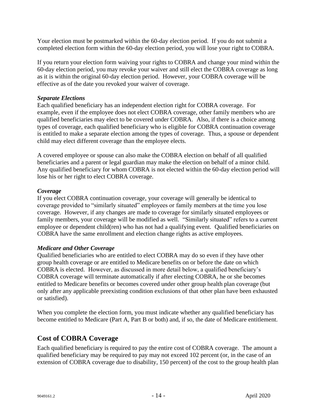Your election must be postmarked within the 60-day election period. If you do not submit a completed election form within the 60-day election period, you will lose your right to COBRA.

If you return your election form waiving your rights to COBRA and change your mind within the 60-day election period, you may revoke your waiver and still elect the COBRA coverage as long as it is within the original 60-day election period. However, your COBRA coverage will be effective as of the date you revoked your waiver of coverage.

#### *Separate Elections*

Each qualified beneficiary has an independent election right for COBRA coverage. For example, even if the employee does not elect COBRA coverage, other family members who are qualified beneficiaries may elect to be covered under COBRA. Also, if there is a choice among types of coverage, each qualified beneficiary who is eligible for COBRA continuation coverage is entitled to make a separate election among the types of coverage. Thus, a spouse or dependent child may elect different coverage than the employee elects.

A covered employee or spouse can also make the COBRA election on behalf of all qualified beneficiaries and a parent or legal guardian may make the election on behalf of a minor child. Any qualified beneficiary for whom COBRA is not elected within the 60-day election period will lose his or her right to elect COBRA coverage.

#### *Coverage*

If you elect COBRA continuation coverage, your coverage will generally be identical to coverage provided to "similarly situated" employees or family members at the time you lose coverage. However, if any changes are made to coverage for similarly situated employees or family members, your coverage will be modified as well. "Similarly situated" refers to a current employee or dependent child(ren) who has not had a qualifying event. Qualified beneficiaries on COBRA have the same enrollment and election change rights as active employees.

#### *Medicare and Other Coverage*

Qualified beneficiaries who are entitled to elect COBRA may do so even if they have other group health coverage or are entitled to Medicare benefits on or before the date on which COBRA is elected. However, as discussed in more detail below, a qualified beneficiary's COBRA coverage will terminate automatically if after electing COBRA, he or she becomes entitled to Medicare benefits or becomes covered under other group health plan coverage (but only after any applicable preexisting condition exclusions of that other plan have been exhausted or satisfied).

When you complete the election form, you must indicate whether any qualified beneficiary has become entitled to Medicare (Part A, Part B or both) and, if so, the date of Medicare entitlement.

### <span id="page-16-0"></span>**Cost of COBRA Coverage**

Each qualified beneficiary is required to pay the entire cost of COBRA coverage. The amount a qualified beneficiary may be required to pay may not exceed 102 percent (or, in the case of an extension of COBRA coverage due to disability, 150 percent) of the cost to the group health plan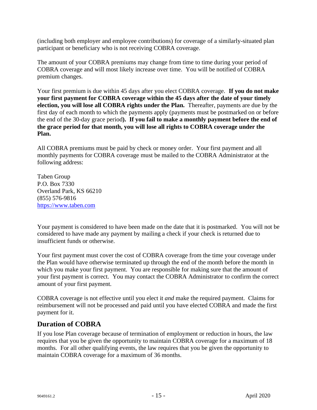(including both employer and employee contributions) for coverage of a similarly-situated plan participant or beneficiary who is not receiving COBRA coverage.

The amount of your COBRA premiums may change from time to time during your period of COBRA coverage and will most likely increase over time. You will be notified of COBRA premium changes.

Your first premium is due within 45 days after you elect COBRA coverage. **If you do not make your first payment for COBRA coverage within the 45 days after the date of your timely election, you will lose all COBRA rights under the Plan.** Thereafter, payments are due by the first day of each month to which the payments apply (payments must be postmarked on or before the end of the 30-day grace period**). If you fail to make a monthly payment before the end of the grace period for that month, you will lose all rights to COBRA coverage under the Plan.**

All COBRA premiums must be paid by check or money order. Your first payment and all monthly payments for COBRA coverage must be mailed to the COBRA Administrator at the following address:

Taben Group P.O. Box 7330 Overland Park, KS 66210 (855) 576-9816 [https://www.taben.com](https://www.taben.com/)

Your payment is considered to have been made on the date that it is postmarked. You will not be considered to have made any payment by mailing a check if your check is returned due to insufficient funds or otherwise.

Your first payment must cover the cost of COBRA coverage from the time your coverage under the Plan would have otherwise terminated up through the end of the month before the month in which you make your first payment. You are responsible for making sure that the amount of your first payment is correct. You may contact the COBRA Administrator to confirm the correct amount of your first payment.

COBRA coverage is not effective until you elect it *and* make the required payment. Claims for reimbursement will not be processed and paid until you have elected COBRA and made the first payment for it.

### <span id="page-17-0"></span>**Duration of COBRA**

If you lose Plan coverage because of termination of employment or reduction in hours, the law requires that you be given the opportunity to maintain COBRA coverage for a maximum of 18 months. For all other qualifying events, the law requires that you be given the opportunity to maintain COBRA coverage for a maximum of 36 months.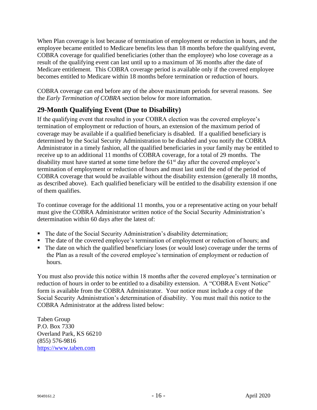When Plan coverage is lost because of termination of employment or reduction in hours, and the employee became entitled to Medicare benefits less than 18 months before the qualifying event, COBRA coverage for qualified beneficiaries (other than the employee) who lose coverage as a result of the qualifying event can last until up to a maximum of 36 months after the date of Medicare entitlement. This COBRA coverage period is available only if the covered employee becomes entitled to Medicare within 18 months before termination or reduction of hours.

COBRA coverage can end before any of the above maximum periods for several reasons. See the *Early Termination of COBRA* section below for more information.

### <span id="page-18-0"></span>**29-Month Qualifying Event (Due to Disability)**

If the qualifying event that resulted in your COBRA election was the covered employee's termination of employment or reduction of hours, an extension of the maximum period of coverage may be available if a qualified beneficiary is disabled. If a qualified beneficiary is determined by the Social Security Administration to be disabled and you notify the COBRA Administrator in a timely fashion, all the qualified beneficiaries in your family may be entitled to receive up to an additional 11 months of COBRA coverage, for a total of 29 months. The disability must have started at some time before the  $61<sup>st</sup>$  day after the covered employee's termination of employment or reduction of hours and must last until the end of the period of COBRA coverage that would be available without the disability extension (generally 18 months, as described above). Each qualified beneficiary will be entitled to the disability extension if one of them qualifies.

To continue coverage for the additional 11 months, you or a representative acting on your behalf must give the COBRA Administrator written notice of the Social Security Administration's determination within 60 days after the latest of:

- The date of the Social Security Administration's disability determination;
- The date of the covered employee's termination of employment or reduction of hours; and
- The date on which the qualified beneficiary loses (or would lose) coverage under the terms of the Plan as a result of the covered employee's termination of employment or reduction of hours.

You must also provide this notice within 18 months after the covered employee's termination or reduction of hours in order to be entitled to a disability extension. A "COBRA Event Notice" form is available from the COBRA Administrator. Your notice must include a copy of the Social Security Administration's determination of disability. You must mail this notice to the COBRA Administrator at the address listed below:

Taben Group P.O. Box 7330 Overland Park, KS 66210 (855) 576-9816 [https://www.taben.com](https://www.taben.com/)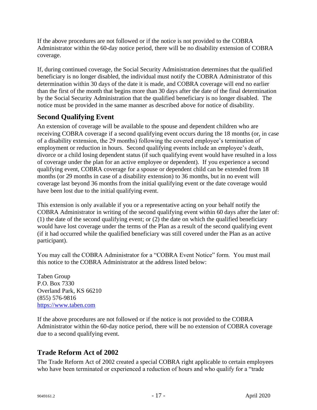If the above procedures are not followed or if the notice is not provided to the COBRA Administrator within the 60-day notice period, there will be no disability extension of COBRA coverage.

If, during continued coverage, the Social Security Administration determines that the qualified beneficiary is no longer disabled, the individual must notify the COBRA Administrator of this determination within 30 days of the date it is made, and COBRA coverage will end no earlier than the first of the month that begins more than 30 days after the date of the final determination by the Social Security Administration that the qualified beneficiary is no longer disabled. The notice must be provided in the same manner as described above for notice of disability.

### <span id="page-19-0"></span>**Second Qualifying Event**

An extension of coverage will be available to the spouse and dependent children who are receiving COBRA coverage if a second qualifying event occurs during the 18 months (or, in case of a disability extension, the 29 months) following the covered employee's termination of employment or reduction in hours. Second qualifying events include an employee's death, divorce or a child losing dependent status (if such qualifying event would have resulted in a loss of coverage under the plan for an active employee or dependent). If you experience a second qualifying event, COBRA coverage for a spouse or dependent child can be extended from 18 months (or 29 months in case of a disability extension) to 36 months, but in no event will coverage last beyond 36 months from the initial qualifying event or the date coverage would have been lost due to the initial qualifying event.

This extension is only available if you or a representative acting on your behalf notify the COBRA Administrator in writing of the second qualifying event within 60 days after the later of: (1) the date of the second qualifying event; or (2) the date on which the qualified beneficiary would have lost coverage under the terms of the Plan as a result of the second qualifying event (if it had occurred while the qualified beneficiary was still covered under the Plan as an active participant).

You may call the COBRA Administrator for a "COBRA Event Notice" form. You must mail this notice to the COBRA Administrator at the address listed below:

Taben Group P.O. Box 7330 Overland Park, KS 66210 (855) 576-9816 [https://www.taben.com](https://www.taben.com/)

If the above procedures are not followed or if the notice is not provided to the COBRA Administrator within the 60-day notice period, there will be no extension of COBRA coverage due to a second qualifying event.

## <span id="page-19-1"></span>**Trade Reform Act of 2002**

The Trade Reform Act of 2002 created a special COBRA right applicable to certain employees who have been terminated or experienced a reduction of hours and who qualify for a "trade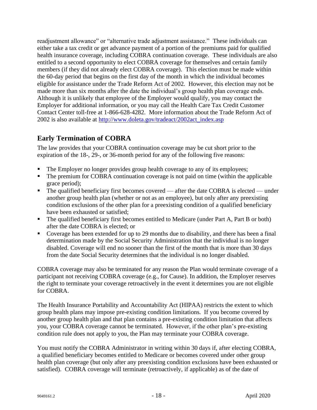readjustment allowance" or "alternative trade adjustment assistance." These individuals can either take a tax credit or get advance payment of a portion of the premiums paid for qualified health insurance coverage, including COBRA continuation coverage. These individuals are also entitled to a second opportunity to elect COBRA coverage for themselves and certain family members (if they did not already elect COBRA coverage). This election must be made within the 60-day period that begins on the first day of the month in which the individual becomes eligible for assistance under the Trade Reform Act of 2002. However, this election may not be made more than six months after the date the individual's group health plan coverage ends. Although it is unlikely that employee of the Employer would qualify, you may contact the Employer for additional information, or you may call the Health Care Tax Credit Customer Contact Center toll-free at 1-866-628-4282. More information about the Trade Reform Act of 2002 is also available at [http://www.](http://www/)doleta.gov/tradeact/2002act\_index.asp

### <span id="page-20-0"></span>**Early Termination of COBRA**

The law provides that your COBRA continuation coverage may be cut short prior to the expiration of the 18-, 29-, or 36-month period for any of the following five reasons:

- The Employer no longer provides group health coverage to any of its employees;
- The premium for COBRA continuation coverage is not paid on time (within the applicable grace period);
- The qualified beneficiary first becomes covered after the date COBRA is elected under another group health plan (whether or not as an employee), but only after any preexisting condition exclusions of the other plan for a preexisting condition of a qualified beneficiary have been exhausted or satisfied;
- The qualified beneficiary first becomes entitled to Medicare (under Part A, Part B or both) after the date COBRA is elected; or
- Coverage has been extended for up to 29 months due to disability, and there has been a final determination made by the Social Security Administration that the individual is no longer disabled. Coverage will end no sooner than the first of the month that is more than 30 days from the date Social Security determines that the individual is no longer disabled.

COBRA coverage may also be terminated for any reason the Plan would terminate coverage of a participant not receiving COBRA coverage (e.g., for Cause). In addition, the Employer reserves the right to terminate your coverage retroactively in the event it determines you are not eligible for COBRA.

The Health Insurance Portability and Accountability Act (HIPAA) restricts the extent to which group health plans may impose pre-existing condition limitations. If you become covered by another group health plan and that plan contains a pre-existing condition limitation that affects you, your COBRA coverage cannot be terminated. However, if the other plan's pre-existing condition rule does not apply to you, the Plan may terminate your COBRA coverage.

You must notify the COBRA Administrator in writing within 30 days if, after electing COBRA, a qualified beneficiary becomes entitled to Medicare or becomes covered under other group health plan coverage (but only after any preexisting condition exclusions have been exhausted or satisfied). COBRA coverage will terminate (retroactively, if applicable) as of the date of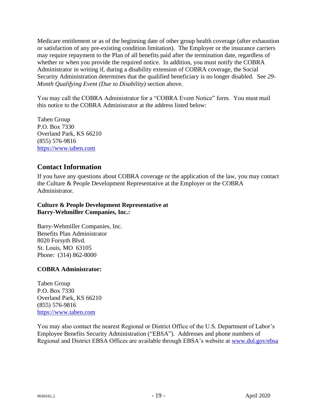Medicare entitlement or as of the beginning date of other group health coverage (after exhaustion or satisfaction of any pre-existing condition limitation). The Employer or the insurance carriers may require repayment to the Plan of all benefits paid after the termination date, regardless of whether or when you provide the required notice. In addition, you must notify the COBRA Administrator in writing if, during a disability extension of COBRA coverage, the Social Security Administration determines that the qualified beneficiary is no longer disabled. See *29- Month Qualifying Event (Due to Disability)* section above.

You may call the COBRA Administrator for a "COBRA Event Notice" form. You must mail this notice to the COBRA Administrator at the address listed below:

Taben Group P.O. Box 7330 Overland Park, KS 66210 (855) 576-9816 [https://www.taben.com](https://www.taben.com/)

### <span id="page-21-0"></span>**Contact Information**

If you have any questions about COBRA coverage or the application of the law, you may contact the Culture & People Development Representative at the Employer or the COBRA Administrator.

#### **Culture & People Development Representative at Barry-Wehmiller Companies, Inc.:**

Barry-Wehmiller Companies, Inc. Benefits Plan Administrator 8020 Forsyth Blvd. St. Louis, MO 63105 Phone: (314) 862-8000

#### **COBRA Administrator:**

Taben Group P.O. Box 7330 Overland Park, KS 66210 (855) 576-9816 [https://www.taben.com](https://www.taben.com/)

You may also contact the nearest Regional or District Office of the U.S. Department of Labor's Employee Benefits Security Administration ("EBSA"). Addresses and phone numbers of Regional and District EBSA Offices are available through EBSA's website at [www.dol.](http://www.dol/)gov/ebsa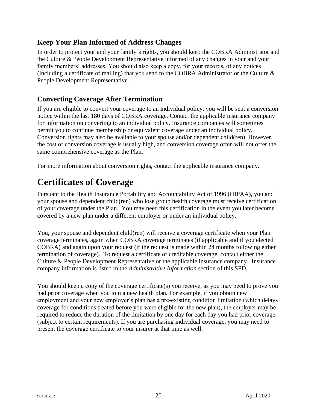## <span id="page-22-0"></span>**Keep Your Plan Informed of Address Changes**

In order to protect your and your family's rights, you should keep the COBRA Administrator and the Culture & People Development Representative informed of any changes in your and your family members' addresses. You should also keep a copy, for your records, of any notices (including a certificate of mailing) that you send to the COBRA Administrator or the Culture  $\&$ People Development Representative.

### <span id="page-22-1"></span>**Converting Coverage After Termination**

If you are eligible to convert your coverage to an individual policy, you will be sent a conversion notice within the last 180 days of COBRA coverage. Contact the applicable insurance company for information on converting to an individual policy. Insurance companies will sometimes permit you to continue membership or equivalent coverage under an individual policy. Conversion rights may also be available to your spouse and/or dependent child(ren). However, the cost of conversion coverage is usually high, and conversion coverage often will not offer the same comprehensive coverage as the Plan.

For more information about conversion rights, contact the applicable insurance company.

# <span id="page-22-2"></span>**Certificates of Coverage**

Pursuant to the Health Insurance Portability and Accountability Act of 1996 (HIPAA), you and your spouse and dependent child(ren) who lose group health coverage must receive certification of your coverage under the Plan. You may need this certification in the event you later become covered by a new plan under a different employer or under an individual policy.

You, your spouse and dependent child(ren) will receive a coverage certificate when your Plan coverage terminates, again when COBRA coverage terminates (if applicable and if you elected COBRA) and again upon your request (if the request is made within 24 months following either termination of coverage). To request a certificate of creditable coverage, contact either the Culture & People Development Representative or the applicable insurance company. Insurance company information is listed in the *Administrative Information* section of this SPD.

You should keep a copy of the coverage certificate(s) you receive, as you may need to prove you had prior coverage when you join a new health plan. For example, if you obtain new employment and your new employer's plan has a pre-existing condition limitation (which delays coverage for conditions treated before you were eligible for the new plan), the employer may be required to reduce the duration of the limitation by one day for each day you had prior coverage (subject to certain requirements). If you are purchasing individual coverage, you may need to present the coverage certificate to your insurer at that time as well.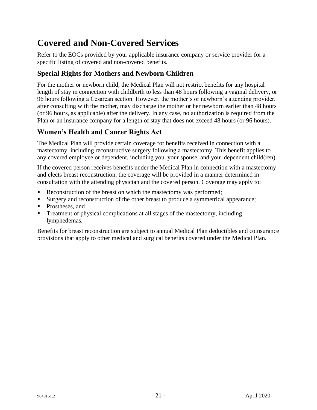# <span id="page-23-0"></span>**Covered and Non-Covered Services**

Refer to the EOCs provided by your applicable insurance company or service provider for a specific listing of covered and non-covered benefits.

## <span id="page-23-1"></span>**Special Rights for Mothers and Newborn Children**

For the mother or newborn child, the Medical Plan will not restrict benefits for any hospital length of stay in connection with childbirth to less than 48 hours following a vaginal delivery, or 96 hours following a Cesarean section. However, the mother's or newborn's attending provider, after consulting with the mother, may discharge the mother or her newborn earlier than 48 hours (or 96 hours, as applicable) after the delivery. In any case, no authorization is required from the Plan or an insurance company for a length of stay that does not exceed 48 hours (or 96 hours).

## <span id="page-23-2"></span>**Women's Health and Cancer Rights Act**

The Medical Plan will provide certain coverage for benefits received in connection with a mastectomy, including reconstructive surgery following a mastectomy. This benefit applies to any covered employee or dependent, including you, your spouse, and your dependent child(ren).

If the covered person receives benefits under the Medical Plan in connection with a mastectomy and elects breast reconstruction, the coverage will be provided in a manner determined in consultation with the attending physician and the covered person. Coverage may apply to:

- Reconstruction of the breast on which the mastectomy was performed;
- **Example 1** Surgery and reconstruction of the other breast to produce a symmetrical appearance;
- Prostheses, and
- Treatment of physical complications at all stages of the mastectomy, including lymphedemas.

Benefits for breast reconstruction are subject to annual Medical Plan deductibles and coinsurance provisions that apply to other medical and surgical benefits covered under the Medical Plan.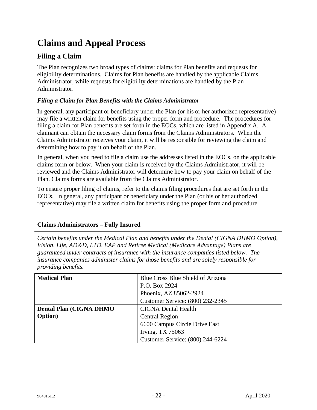# <span id="page-24-0"></span>**Claims and Appeal Process**

### <span id="page-24-1"></span>**Filing a Claim**

The Plan recognizes two broad types of claims: claims for Plan benefits and requests for eligibility determinations. Claims for Plan benefits are handled by the applicable Claims Administrator, while requests for eligibility determinations are handled by the Plan Administrator.

#### *Filing a Claim for Plan Benefits with the Claims Administrator*

In general, any participant or beneficiary under the Plan (or his or her authorized representative) may file a written claim for benefits using the proper form and procedure. The procedures for filing a claim for Plan benefits are set forth in the EOCs, which are listed in Appendix A. A claimant can obtain the necessary claim forms from the Claims Administrators. When the Claims Administrator receives your claim, it will be responsible for reviewing the claim and determining how to pay it on behalf of the Plan.

In general, when you need to file a claim use the addresses listed in the EOCs, on the applicable claims form or below. When your claim is received by the Claims Administrator, it will be reviewed and the Claims Administrator will determine how to pay your claim on behalf of the Plan. Claims forms are available from the Claims Administrator.

To ensure proper filing of claims, refer to the claims filing procedures that are set forth in the EOCs. In general, any participant or beneficiary under the Plan (or his or her authorized representative) may file a written claim for benefits using the proper form and procedure.

#### **Claims Administrators – Fully Insured**

*Certain benefits under the Medical Plan and benefits under the Dental (CIGNA DHMO Option), Vision, Life, AD&D, LTD, EAP and Retiree Medical (Medicare Advantage) Plans are guaranteed under contracts of insurance with the insurance companies listed below. The insurance companies administer claims for those benefits and are solely responsible for providing benefits.* 

| <b>Medical Plan</b>             | Blue Cross Blue Shield of Arizona |
|---------------------------------|-----------------------------------|
|                                 | P.O. Box 2924                     |
|                                 | Phoenix, AZ 85062-2924            |
|                                 | Customer Service: (800) 232-2345  |
| <b>Dental Plan (CIGNA DHMO)</b> | <b>CIGNA Dental Health</b>        |
| <b>Option</b> )                 | <b>Central Region</b>             |
|                                 | 6600 Campus Circle Drive East     |
|                                 | <b>Irving, TX 75063</b>           |
|                                 | Customer Service: (800) 244-6224  |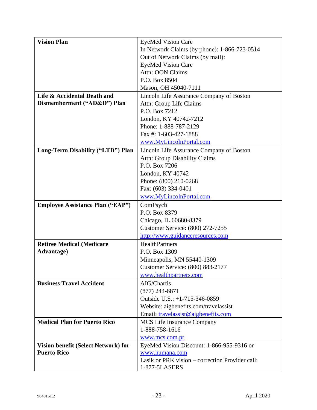| <b>Vision Plan</b>                      | <b>EyeMed Vision Care</b>                       |
|-----------------------------------------|-------------------------------------------------|
|                                         | In Network Claims (by phone): 1-866-723-0514    |
|                                         | Out of Network Claims (by mail):                |
|                                         | <b>EyeMed Vision Care</b>                       |
|                                         | Attn: OON Claims                                |
|                                         | P.O. Box 8504                                   |
|                                         | Mason, OH 45040-7111                            |
| Life & Accidental Death and             | Lincoln Life Assurance Company of Boston        |
| Dismemberment ("AD&D") Plan             | Attn: Group Life Claims                         |
|                                         | P.O. Box 7212                                   |
|                                         | London, KY 40742-7212                           |
|                                         | Phone: 1-888-787-2129                           |
|                                         | Fax #: 1-603-427-1888                           |
|                                         | www.MyLincolnPortal.com                         |
| Long-Term Disability ("LTD") Plan       | Lincoln Life Assurance Company of Boston        |
|                                         | <b>Attn: Group Disability Claims</b>            |
|                                         | P.O. Box 7206                                   |
|                                         | London, KY 40742                                |
|                                         | Phone: (800) 210-0268                           |
|                                         | Fax: (603) 334-0401                             |
|                                         | www.MyLincolnPortal.com                         |
| <b>Employee Assistance Plan ("EAP")</b> | ComPsych                                        |
|                                         | P.O. Box 8379                                   |
|                                         | Chicago, IL 60680-8379                          |
|                                         | Customer Service: (800) 272-7255                |
|                                         | http://www.guidanceresources.com                |
| <b>Retiree Medical (Medicare</b>        | <b>HealthPartners</b>                           |
| <b>Advantage</b> )                      | P.O. Box 1309                                   |
|                                         | Minneapolis, MN 55440-1309                      |
|                                         | Customer Service: (800) 883-2177                |
|                                         | www.healthpartners.com                          |
| <b>Business Travel Accident</b>         | AIG/Chartis                                     |
|                                         | $(877)$ 244-6871                                |
|                                         | Outside U.S.: +1-715-346-0859                   |
|                                         | Website: aigbenefits.com/travelassist           |
|                                         | Email: travelassist@aigbenefits.com             |
| <b>Medical Plan for Puerto Rico</b>     | <b>MCS</b> Life Insurance Company               |
|                                         | 1-888-758-1616                                  |
|                                         | www.mcs.com.pr                                  |
| Vision benefit (Select Network) for     | EyeMed Vision Discount: 1-866-955-9316 or       |
| <b>Puerto Rico</b>                      | www.humana.com                                  |
|                                         | Lasik or PRK vision – correction Provider call: |
|                                         | 1-877-5LASERS                                   |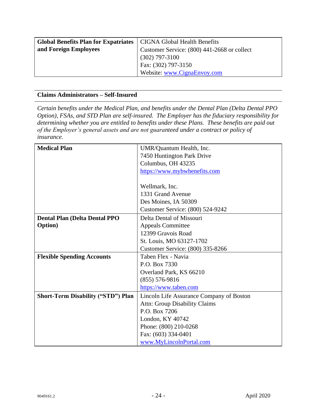| <b>Global Benefits Plan for Expatriates</b> | <b>CIGNA Global Health Benefits</b>         |
|---------------------------------------------|---------------------------------------------|
| and Foreign Employees                       | Customer Service: (800) 441-2668 or collect |
|                                             | $(302)$ 797-3100                            |
|                                             | Fax: (302) 797-3150                         |
|                                             | Website: www.CignaEnvoy.com                 |

#### **Claims Administrators – Self-Insured**

*Certain benefits under the Medical Plan, and benefits under the Dental Plan (Delta Dental PPO Option), FSAs, and STD Plan are self-insured. The Employer has the fiduciary responsibility for determining whether you are entitled to benefits under these Plans. These benefits are paid out of the Employer's general assets and are not guaranteed under a contract or policy of insurance.*

| <b>Medical Plan</b>                       | UMR/Quantum Health, Inc.                 |
|-------------------------------------------|------------------------------------------|
|                                           | 7450 Huntington Park Drive               |
|                                           | Columbus, OH 43235                       |
|                                           | https://www.mybwbenefits.com             |
|                                           |                                          |
|                                           | Wellmark, Inc.                           |
|                                           | 1331 Grand Avenue                        |
|                                           | Des Moines, IA 50309                     |
|                                           | Customer Service: (800) 524-9242         |
| <b>Dental Plan (Delta Dental PPO</b>      | Delta Dental of Missouri                 |
| <b>Option</b> )                           | <b>Appeals Committee</b>                 |
|                                           | 12399 Gravois Road                       |
|                                           | St. Louis, MO 63127-1702                 |
|                                           | Customer Service: (800) 335-8266         |
| <b>Flexible Spending Accounts</b>         | Taben Flex - Navia                       |
|                                           | P.O. Box 7330                            |
|                                           | Overland Park, KS 66210                  |
|                                           | $(855) 576-9816$                         |
|                                           | https://www.taben.com                    |
| <b>Short-Term Disability ("STD") Plan</b> | Lincoln Life Assurance Company of Boston |
|                                           | <b>Attn: Group Disability Claims</b>     |
|                                           | P.O. Box 7206                            |
|                                           | London, KY 40742                         |
|                                           | Phone: (800) 210-0268                    |
|                                           | Fax: (603) 334-0401                      |
|                                           | www.MyLincolnPortal.com                  |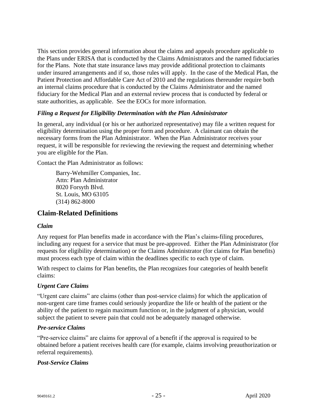This section provides general information about the claims and appeals procedure applicable to the Plans under ERISA that is conducted by the Claims Administrators and the named fiduciaries for the Plans. Note that state insurance laws may provide additional protection to claimants under insured arrangements and if so, those rules will apply. In the case of the Medical Plan, the Patient Protection and Affordable Care Act of 2010 and the regulations thereunder require both an internal claims procedure that is conducted by the Claims Administrator and the named fiduciary for the Medical Plan and an external review process that is conducted by federal or state authorities, as applicable. See the EOCs for more information.

#### *Filing a Request for Eligibility Determination with the Plan Administrator*

In general, any individual (or his or her authorized representative) may file a written request for eligibility determination using the proper form and procedure. A claimant can obtain the necessary forms from the Plan Administrator. When the Plan Administrator receives your request, it will be responsible for reviewing the reviewing the request and determining whether you are eligible for the Plan.

Contact the Plan Administrator as follows:

Barry-Wehmiller Companies, Inc. Attn: Plan Administrator 8020 Forsyth Blvd. St. Louis, MO 63105 (314) 862-8000

### <span id="page-27-0"></span>**Claim-Related Definitions**

#### *Claim*

Any request for Plan benefits made in accordance with the Plan's claims-filing procedures, including any request for a service that must be pre-approved. Either the Plan Administrator (for requests for eligibility determination) or the Claims Administrator (for claims for Plan benefits) must process each type of claim within the deadlines specific to each type of claim.

With respect to claims for Plan benefits, the Plan recognizes four categories of health benefit claims:

#### *Urgent Care Claims*

"Urgent care claims" are claims (other than post-service claims) for which the application of non-urgent care time frames could seriously jeopardize the life or health of the patient or the ability of the patient to regain maximum function or, in the judgment of a physician, would subject the patient to severe pain that could not be adequately managed otherwise.

#### *Pre-service Claims*

"Pre-service claims" are claims for approval of a benefit if the approval is required to be obtained before a patient receives health care (for example, claims involving preauthorization or referral requirements).

#### *Post-Service Claims*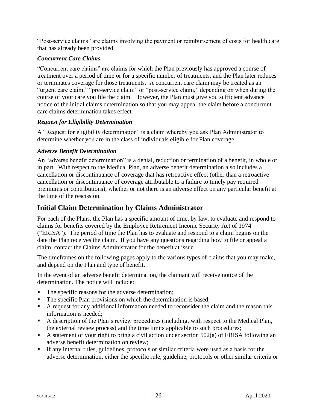"Post-service claims" are claims involving the payment or reimbursement of costs for health care that has already been provided.

### *Concurrent Care Claims*

"Concurrent care claims" are claims for which the Plan previously has approved a course of treatment over a period of time or for a specific number of treatments, and the Plan later reduces or terminates coverage for those treatments. A concurrent care claim may be treated as an "urgent care claim," "pre-service claim" or "post-service claim," depending on when during the course of your care you file the claim. However, the Plan must give you sufficient advance notice of the initial claims determination so that you may appeal the claim before a concurrent care claims determination takes effect.

#### *Request for Eligibility Determination*

A "Request for eligibility determination" is a claim whereby you ask Plan Administrator to determine whether you are in the class of individuals eligible for Plan coverage.

### *Adverse Benefit Determination*

An "adverse benefit determination" is a denial, reduction or termination of a benefit, in whole or in part. With respect to the Medical Plan, an adverse benefit determination also includes a cancellation or discontinuance of coverage that has retroactive effect (other than a retroactive cancellation or discontinuance of coverage attributable to a failure to timely pay required premiums or contributions), whether or not there is an adverse effect on any particular benefit at the time of the rescission.

### <span id="page-28-0"></span>**Initial Claim Determination by Claims Administrator**

For each of the Plans, the Plan has a specific amount of time, by law, to evaluate and respond to claims for benefits covered by the Employee Retirement Income Security Act of 1974 ("ERISA"). The period of time the Plan has to evaluate and respond to a claim begins on the date the Plan receives the claim. If you have any questions regarding how to file or appeal a claim, contact the Claims Administrator for the benefit at issue.

The timeframes on the following pages apply to the various types of claims that you may make, and depend on the Plan and type of benefit.

In the event of an adverse benefit determination, the claimant will receive notice of the determination. The notice will include:

- The specific reasons for the adverse determination;
- The specific Plan provisions on which the determination is based;
- A request for any additional information needed to reconsider the claim and the reason this information is needed;
- A description of the Plan's review procedures (including, with respect to the Medical Plan, the external review process) and the time limits applicable to such procedures;
- A statement of your right to bring a civil action under section  $502(a)$  of ERISA following an adverse benefit determination on review;
- If any internal rules, guidelines, protocols or similar criteria were used as a basis for the adverse determination, either the specific rule, guideline, protocols or other similar criteria or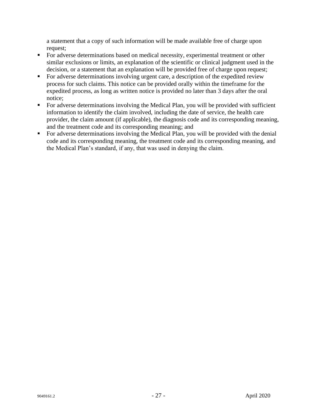a statement that a copy of such information will be made available free of charge upon request;

- For adverse determinations based on medical necessity, experimental treatment or other similar exclusions or limits, an explanation of the scientific or clinical judgment used in the decision, or a statement that an explanation will be provided free of charge upon request;
- For adverse determinations involving urgent care, a description of the expedited review process for such claims. This notice can be provided orally within the timeframe for the expedited process, as long as written notice is provided no later than 3 days after the oral notice;
- For adverse determinations involving the Medical Plan, you will be provided with sufficient information to identify the claim involved, including the date of service, the health care provider, the claim amount (if applicable), the diagnosis code and its corresponding meaning, and the treatment code and its corresponding meaning; and
- For adverse determinations involving the Medical Plan, you will be provided with the denial code and its corresponding meaning, the treatment code and its corresponding meaning, and the Medical Plan's standard, if any, that was used in denying the claim.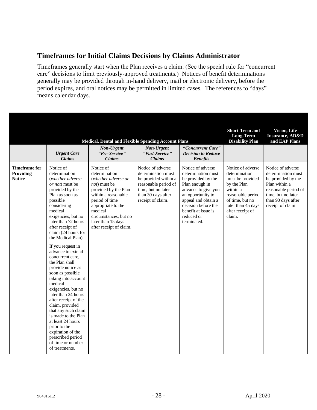### <span id="page-30-0"></span>**Timeframes for Initial Claims Decisions by Claims Administrator**

Timeframes generally start when the Plan receives a claim. (See the special rule for "concurrent care" decisions to limit previously-approved treatments.) Notices of benefit determinations generally may be provided through in-hand delivery, mail or electronic delivery, before the period expires, and oral notices may be permitted in limited cases. The references to "days" means calendar days.

|                                                    | <b>Urgent Care</b><br><b>Claims</b>                                                                                                                                                                                                                                                                                                                                                                                                                                                                                                                                                                                                                                                | Medical, Dental and Flexible Spending Account Plans<br>Non-Urgent<br>"Pre-Service"<br><b>Claims</b>                                                                                                                                                   | Non-Urgent<br>"Post-Service"<br><b>Claims</b>                                                                                                            | "Concurrent Care"<br><b>Decision to Reduce</b><br><b>Benefits</b>                                                                                                                                                             | <b>Short-Term and</b><br><b>Long-Term</b><br><b>Disability Plan</b>                                                                                                           | <b>Vision, Life</b><br><b>Insurance, AD&amp;D</b><br>and EAP Plans                                                                                                      |
|----------------------------------------------------|------------------------------------------------------------------------------------------------------------------------------------------------------------------------------------------------------------------------------------------------------------------------------------------------------------------------------------------------------------------------------------------------------------------------------------------------------------------------------------------------------------------------------------------------------------------------------------------------------------------------------------------------------------------------------------|-------------------------------------------------------------------------------------------------------------------------------------------------------------------------------------------------------------------------------------------------------|----------------------------------------------------------------------------------------------------------------------------------------------------------|-------------------------------------------------------------------------------------------------------------------------------------------------------------------------------------------------------------------------------|-------------------------------------------------------------------------------------------------------------------------------------------------------------------------------|-------------------------------------------------------------------------------------------------------------------------------------------------------------------------|
| <b>Timeframe for</b><br>Providing<br><b>Notice</b> | Notice of<br>determination<br>(whether adverse<br>or not) must be<br>provided by the<br>Plan as soon as<br>possible<br>considering<br>medical<br>exigencies, but no<br>later than 72 hours<br>after receipt of<br>claim (24 hours for<br>the Medical Plan).<br>If you request in<br>advance to extend<br>concurrent care,<br>the Plan shall<br>provide notice as<br>soon as possible<br>taking into account<br>medical<br>exigencies, but no<br>later than 24 hours<br>after receipt of the<br>claim, provided<br>that any such claim<br>is made to the Plan<br>at least 24 hours<br>prior to the<br>expiration of the<br>prescribed period<br>of time or number<br>of treatments. | Notice of<br>determination<br>(whether adverse or<br><i>not</i> ) must be<br>provided by the Plan<br>within a reasonable<br>period of time<br>appropriate to the<br>medical<br>circumstances, but no<br>later than 15 days<br>after receipt of claim. | Notice of adverse<br>determination must<br>be provided within a<br>reasonable period of<br>time, but no later<br>than 30 days after<br>receipt of claim. | Notice of adverse<br>determination must<br>be provided by the<br>Plan enough in<br>advance to give you<br>an opportunity to<br>appeal and obtain a<br>decision before the<br>benefit at issue is<br>reduced or<br>terminated. | Notice of adverse<br>determination<br>must be provided<br>by the Plan<br>within a<br>reasonable period<br>of time, but no<br>later than 45 days<br>after receipt of<br>claim. | Notice of adverse<br>determination must<br>be provided by the<br>Plan within a<br>reasonable period of<br>time, but no later<br>than 90 days after<br>receipt of claim. |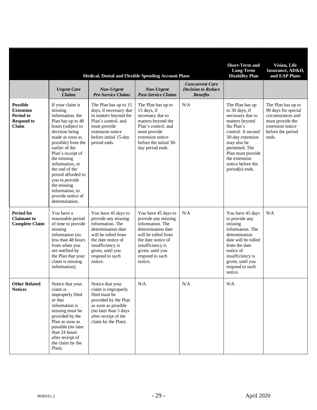|                                                                                |                                                                                                                                                                                                                                                                                                                                                                  | <b>Medical, Dental and Flexible Spending Account Plans</b>                                                                                                                                              |                                                                                                                                                                                                         |                                                                        | <b>Short-Term and</b><br>Long-Term<br><b>Disability Plan</b>                                                                                                                                                                                  | <b>Vision</b> , Life<br>Insurance, AD&D,<br>and EAP Plans                                                                            |
|--------------------------------------------------------------------------------|------------------------------------------------------------------------------------------------------------------------------------------------------------------------------------------------------------------------------------------------------------------------------------------------------------------------------------------------------------------|---------------------------------------------------------------------------------------------------------------------------------------------------------------------------------------------------------|---------------------------------------------------------------------------------------------------------------------------------------------------------------------------------------------------------|------------------------------------------------------------------------|-----------------------------------------------------------------------------------------------------------------------------------------------------------------------------------------------------------------------------------------------|--------------------------------------------------------------------------------------------------------------------------------------|
|                                                                                | <b>Urgent Care</b><br><b>Claims</b>                                                                                                                                                                                                                                                                                                                              | Non-Urgent<br><b>Pre-Service Claims</b>                                                                                                                                                                 | Non-Urgent<br><b>Post-Service Claims</b>                                                                                                                                                                | <b>Concurrent Care</b><br><b>Decision to Reduce</b><br><b>Benefits</b> |                                                                                                                                                                                                                                               |                                                                                                                                      |
| <b>Possible</b><br><b>Extension</b><br>Period to<br><b>Respond to</b><br>Claim | If your claim is<br>missing<br>information, the<br>Plan has up to 48<br>hours (subject to<br>decision being<br>made as soon as<br>possible) from the<br>earlier of the<br>Plan's receipt of<br>the missing<br>information, or<br>the end of the<br>period afforded to<br>you to provide<br>the missing<br>information, to<br>provide notice of<br>determination. | The Plan has up to 15<br>days, if necessary due<br>to matters beyond the<br>Plan's control, and<br>must provide<br>extension notice<br>before initial 15-day<br>period ends.                            | The Plan has up to<br>15 days, if<br>necessary due to<br>matters beyond the<br>Plan's control, and<br>must provide<br>extension notice<br>before the initial 30-<br>day period ends.                    | N/A                                                                    | The Plan has up<br>to 30 days, if<br>necessary due to<br>matters beyond<br>the Plan's<br>control. A second<br>30-day extension<br>may also be<br>permitted. The<br>Plan must provide<br>the extension<br>notice before the<br>period(s) ends. | The Plan has up to<br>90 days for special<br>circumstances and<br>must provide the<br>extension notice<br>before the period<br>ends. |
| <b>Period for</b><br><b>Claimant</b> to<br><b>Complete Claim</b>               | You have a<br>reasonable period<br>of time to provide<br>missing<br>information (no<br>less than 48 hours<br>from when you<br>are notified by<br>the Plan that your<br>claim is missing<br>information).                                                                                                                                                         | You have 45 days to<br>provide any missing<br>information. The<br>determination date<br>will be tolled from<br>the date notice of<br>insufficiency is<br>given, until you<br>respond to such<br>notice. | You have 45 days to<br>provide any missing<br>information. The<br>determination date<br>will be tolled from<br>the date notice of<br>insufficiency is<br>given, until you<br>respond to such<br>notice. | N/A                                                                    | You have 45 days<br>to provide any<br>missing<br>information. The<br>determination<br>date will be tolled<br>from the date<br>notice of<br>insufficiency is<br>given, until you<br>respond to such<br>notice.                                 | N/A                                                                                                                                  |
| <b>Other Related</b><br><b>Notices</b>                                         | Notice that your<br>claim is<br>improperly filed<br>or that<br>information is<br>missing must be<br>provided by the<br>Plan as soon as<br>possible (no later<br>than 24 hours<br>after receipt of<br>the claim by the<br>Plan).                                                                                                                                  | Notice that your<br>claim is improperly<br>filed must be<br>provided by the Plan<br>as soon as possible<br>(no later than 5 days<br>after receipt of the<br>claim by the Plan).                         | N/A                                                                                                                                                                                                     | N/A                                                                    | N/A                                                                                                                                                                                                                                           |                                                                                                                                      |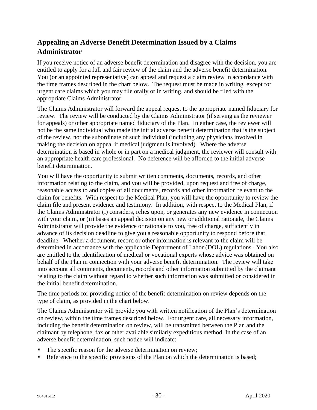## <span id="page-32-0"></span>**Appealing an Adverse Benefit Determination Issued by a Claims Administrator**

If you receive notice of an adverse benefit determination and disagree with the decision, you are entitled to apply for a full and fair review of the claim and the adverse benefit determination. You (or an appointed representative) can appeal and request a claim review in accordance with the time frames described in the chart below. The request must be made in writing, except for urgent care claims which you may file orally or in writing, and should be filed with the appropriate Claims Administrator.

The Claims Administrator will forward the appeal request to the appropriate named fiduciary for review. The review will be conducted by the Claims Administrator (if serving as the reviewer for appeals) or other appropriate named fiduciary of the Plan. In either case, the reviewer will not be the same individual who made the initial adverse benefit determination that is the subject of the review, nor the subordinate of such individual (including any physicians involved in making the decision on appeal if medical judgment is involved). Where the adverse determination is based in whole or in part on a medical judgment, the reviewer will consult with an appropriate health care professional. No deference will be afforded to the initial adverse benefit determination.

You will have the opportunity to submit written comments, documents, records, and other information relating to the claim, and you will be provided, upon request and free of charge, reasonable access to and copies of all documents, records and other information relevant to the claim for benefits. With respect to the Medical Plan, you will have the opportunity to review the claim file and present evidence and testimony. In addition, with respect to the Medical Plan, if the Claims Administrator (i) considers, relies upon, or generates any new evidence in connection with your claim, or (ii) bases an appeal decision on any new or additional rationale, the Claims Administrator will provide the evidence or rationale to you, free of charge, sufficiently in advance of its decision deadline to give you a reasonable opportunity to respond before that deadline. Whether a document, record or other information is relevant to the claim will be determined in accordance with the applicable Department of Labor (DOL) regulations. You also are entitled to the identification of medical or vocational experts whose advice was obtained on behalf of the Plan in connection with your adverse benefit determination. The review will take into account all comments, documents, records and other information submitted by the claimant relating to the claim without regard to whether such information was submitted or considered in the initial benefit determination.

The time periods for providing notice of the benefit determination on review depends on the type of claim, as provided in the chart below.

The Claims Administrator will provide you with written notification of the Plan's determination on review, within the time frames described below. For urgent care, all necessary information, including the benefit determination on review, will be transmitted between the Plan and the claimant by telephone, fax or other available similarly expeditious method. In the case of an adverse benefit determination, such notice will indicate:

- The specific reason for the adverse determination on review;
- Reference to the specific provisions of the Plan on which the determination is based;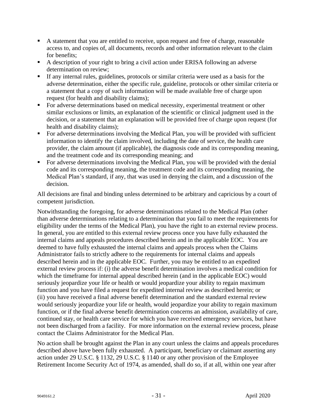- A statement that you are entitled to receive, upon request and free of charge, reasonable access to, and copies of, all documents, records and other information relevant to the claim for benefits;
- A description of your right to bring a civil action under ERISA following an adverse determination on review;
- If any internal rules, guidelines, protocols or similar criteria were used as a basis for the adverse determination, either the specific rule, guideline, protocols or other similar criteria or a statement that a copy of such information will be made available free of charge upon request (for health and disability claims);
- For adverse determinations based on medical necessity, experimental treatment or other similar exclusions or limits, an explanation of the scientific or clinical judgment used in the decision, or a statement that an explanation will be provided free of charge upon request (for health and disability claims);
- For adverse determinations involving the Medical Plan, you will be provided with sufficient information to identify the claim involved, including the date of service, the health care provider, the claim amount (if applicable), the diagnosis code and its corresponding meaning, and the treatment code and its corresponding meaning; and
- For adverse determinations involving the Medical Plan, you will be provided with the denial code and its corresponding meaning, the treatment code and its corresponding meaning, the Medical Plan's standard, if any, that was used in denying the claim, and a discussion of the decision.

All decisions are final and binding unless determined to be arbitrary and capricious by a court of competent jurisdiction.

Notwithstanding the foregoing, for adverse determinations related to the Medical Plan (other than adverse determinations relating to a determination that you fail to meet the requirements for eligibility under the terms of the Medical Plan), you have the right to an external review process. In general, you are entitled to this external review process once you have fully exhausted the internal claims and appeals procedures described herein and in the applicable EOC. You are deemed to have fully exhausted the internal claims and appeals process when the Claims Administrator fails to strictly adhere to the requirements for internal claims and appeals described herein and in the applicable EOC. Further, you may be entitled to an expedited external review process if: (i) the adverse benefit determination involves a medical condition for which the timeframe for internal appeal described herein (and in the applicable EOC) would seriously jeopardize your life or health or would jeopardize your ability to regain maximum function and you have filed a request for expedited internal review as described herein; or (ii) you have received a final adverse benefit determination and the standard external review would seriously jeopardize your life or health, would jeopardize your ability to regain maximum function, or if the final adverse benefit determination concerns an admission, availability of care, continued stay, or health care service for which you have received emergency services, but have not been discharged from a facility. For more information on the external review process, please contact the Claims Administrator for the Medical Plan.

No action shall be brought against the Plan in any court unless the claims and appeals procedures described above have been fully exhausted. A participant, beneficiary or claimant asserting any action under 29 U.S.C. § 1132, 29 U.S.C. § 1140 or any other provision of the Employee Retirement Income Security Act of 1974, as amended, shall do so, if at all, within one year after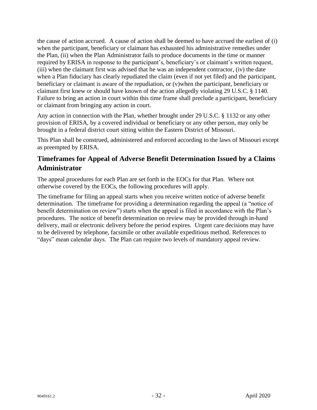the cause of action accrued. A cause of action shall be deemed to have accrued the earliest of (i) when the participant, beneficiary or claimant has exhausted his administrative remedies under the Plan, (ii) when the Plan Administrator fails to produce documents in the time or manner required by ERISA in response to the participant's, beneficiary's or claimant's written request, (iii) when the claimant first was advised that he was an independent contractor, (iv) the date when a Plan fiduciary has clearly repudiated the claim (even if not yet filed) and the participant, beneficiary or claimant is aware of the repudiation, or (v)when the participant, beneficiary or claimant first knew or should have known of the action allegedly violating 29 U.S.C. § 1140. Failure to bring an action in court within this time frame shall preclude a participant, beneficiary or claimant from bringing any action in court.

Any action in connection with the Plan, whether brought under 29 U.S.C. § 1132 or any other provision of ERISA, by a covered individual or beneficiary or any other person, may only be brought in a federal district court sitting within the Eastern District of Missouri.

This Plan shall be construed, administered and enforced according to the laws of Missouri except as preempted by ERISA.

### <span id="page-34-0"></span>**Timeframes for Appeal of Adverse Benefit Determination Issued by a Claims Administrator**

The appeal procedures for each Plan are set forth in the EOCs for that Plan. Where not otherwise covered by the EOCs, the following procedures will apply.

The timeframe for filing an appeal starts when you receive written notice of adverse benefit determination. The timeframe for providing a determination regarding the appeal (a "notice of benefit determination on review") starts when the appeal is filed in accordance with the Plan's procedures. The notice of benefit determination on review may be provided through in-hand delivery, mail or electronic delivery before the period expires. Urgent care decisions may have to be delivered by telephone, facsimile or other available expeditious method. References to "days" mean calendar days. The Plan can require two levels of mandatory appeal review.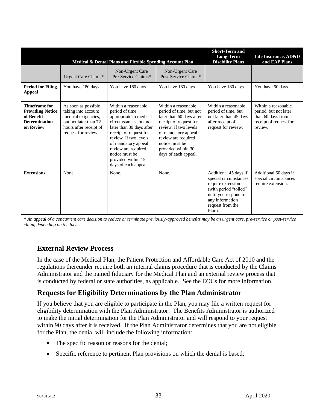|                                                                                                    |                                                                                                                                             | Medical & Dental Plans and Flexible Spending Account Plan                                                                                                                                                                                                                               |                                                                                                                                                                                                                                              | <b>Short-Term and</b><br>Long-Term<br><b>Disability Plans</b>                                                                                                         | Life Insurance, AD&D<br>and EAP Plans                                                                  |
|----------------------------------------------------------------------------------------------------|---------------------------------------------------------------------------------------------------------------------------------------------|-----------------------------------------------------------------------------------------------------------------------------------------------------------------------------------------------------------------------------------------------------------------------------------------|----------------------------------------------------------------------------------------------------------------------------------------------------------------------------------------------------------------------------------------------|-----------------------------------------------------------------------------------------------------------------------------------------------------------------------|--------------------------------------------------------------------------------------------------------|
|                                                                                                    | Urgent Care Claims*                                                                                                                         | Non-Urgent Care<br>Pre-Service Claims*                                                                                                                                                                                                                                                  | Non-Urgent Care<br>Post-Service Claims*                                                                                                                                                                                                      |                                                                                                                                                                       |                                                                                                        |
| <b>Period for Filing</b><br><b>Appeal</b>                                                          | You have 180 days.                                                                                                                          | You have 180 days.                                                                                                                                                                                                                                                                      | You have 180 days.                                                                                                                                                                                                                           | You have 180 days.                                                                                                                                                    | You have 60 days.                                                                                      |
| <b>Timeframe for</b><br><b>Providing Notice</b><br>of Benefit<br><b>Determination</b><br>on Review | As soon as possible<br>taking into account<br>medical exigencies,<br>but not later than 72<br>hours after receipt of<br>request for review. | Within a reasonable<br>period of time<br>appropriate to medical<br>circumstances, but not<br>later than 30 days after<br>receipt of request for<br>review. If two levels<br>of mandatory appeal<br>review are required,<br>notice must be<br>provided within 15<br>days of each appeal. | Within a reasonable<br>period of time, but not<br>later than 60 days after<br>receipt of request for<br>review. If two levels<br>of mandatory appeal<br>review are required,<br>notice must be<br>provided within 30<br>days of each appeal. | Within a reasonable<br>period of time, but<br>not later than 45 days<br>after receipt of<br>request for review.                                                       | Within a reasonable<br>period, but not later<br>than 60 days from<br>receipt of request for<br>review. |
| <b>Extensions</b>                                                                                  | None.                                                                                                                                       | None.                                                                                                                                                                                                                                                                                   | None.                                                                                                                                                                                                                                        | Additional 45 days if<br>special circumstances<br>require extension<br>(with period "tolled"<br>until you respond to<br>any information<br>request from the<br>Plan). | Additional 60 days if<br>special circumstances<br>require extension.                                   |

*\* An appeal of a concurrent care decision to reduce or terminate previously-approved benefits may be an urgent care, pre-service or post-service claim, depending on the facts.* 

## <span id="page-35-0"></span>**External Review Process**

In the case of the Medical Plan, the Patient Protection and Affordable Care Act of 2010 and the regulations thereunder require both an internal claims procedure that is conducted by the Claims Administrator and the named fiduciary for the Medical Plan and an external review process that is conducted by federal or state authorities, as applicable. See the EOCs for more information.

### <span id="page-35-1"></span>**Requests for Eligibility Determinations by the Plan Administrator**

If you believe that you are eligible to participate in the Plan, you may file a written request for eligibility determination with the Plan Administrator. The Benefits Administrator is authorized to make the initial determination for the Plan Administrator and will respond to your request within 90 days after it is received. If the Plan Administrator determines that you are not eligible for the Plan, the denial will include the following information:

- The specific reason or reasons for the denial;
- Specific reference to pertinent Plan provisions on which the denial is based;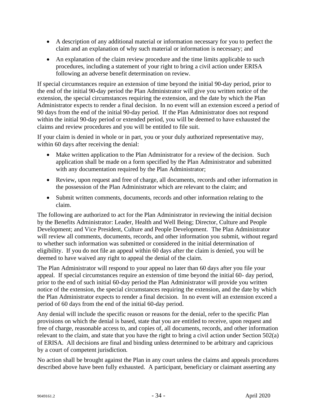- A description of any additional material or information necessary for you to perfect the claim and an explanation of why such material or information is necessary; and
- An explanation of the claim review procedure and the time limits applicable to such procedures, including a statement of your right to bring a civil action under ERISA following an adverse benefit determination on review.

If special circumstances require an extension of time beyond the initial 90-day period, prior to the end of the initial 90-day period the Plan Administrator will give you written notice of the extension, the special circumstances requiring the extension, and the date by which the Plan Administrator expects to render a final decision. In no event will an extension exceed a period of 90 days from the end of the initial 90-day period. If the Plan Administrator does not respond within the initial 90-day period or extended period, you will be deemed to have exhausted the claims and review procedures and you will be entitled to file suit.

If your claim is denied in whole or in part, you or your duly authorized representative may, within 60 days after receiving the denial:

- Make written application to the Plan Administrator for a review of the decision. Such application shall be made on a form specified by the Plan Administrator and submitted with any documentation required by the Plan Administrator;
- Review, upon request and free of charge, all documents, records and other information in the possession of the Plan Administrator which are relevant to the claim; and
- Submit written comments, documents, records and other information relating to the claim.

The following are authorized to act for the Plan Administrator in reviewing the initial decision by the Benefits Administrator: Leader, Health and Well Being; Director, Culture and People Development; and Vice President, Culture and People Development. The Plan Administrator will review all comments, documents, records, and other information you submit, without regard to whether such information was submitted or considered in the initial determination of eligibility. If you do not file an appeal within 60 days after the claim is denied, you will be deemed to have waived any right to appeal the denial of the claim.

The Plan Administrator will respond to your appeal no later than 60 days after you file your appeal. If special circumstances require an extension of time beyond the initial 60- day period, prior to the end of such initial 60-day period the Plan Administrator will provide you written notice of the extension, the special circumstances requiring the extension, and the date by which the Plan Administrator expects to render a final decision. In no event will an extension exceed a period of 60 days from the end of the initial 60-day period.

Any denial will include the specific reason or reasons for the denial, refer to the specific Plan provisions on which the denial is based, state that you are entitled to receive, upon request and free of charge, reasonable access to, and copies of, all documents, records, and other information relevant to the claim, and state that you have the right to bring a civil action under Section 502(a) of ERISA. All decisions are final and binding unless determined to be arbitrary and capricious by a court of competent jurisdiction.

No action shall be brought against the Plan in any court unless the claims and appeals procedures described above have been fully exhausted. A participant, beneficiary or claimant asserting any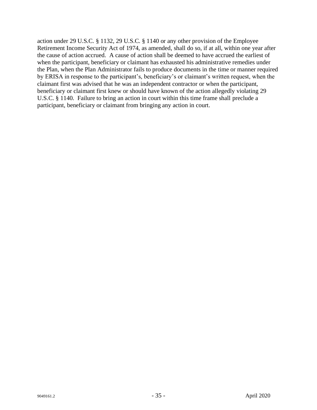action under 29 U.S.C. § 1132, 29 U.S.C. § 1140 or any other provision of the Employee Retirement Income Security Act of 1974, as amended, shall do so, if at all, within one year after the cause of action accrued. A cause of action shall be deemed to have accrued the earliest of when the participant, beneficiary or claimant has exhausted his administrative remedies under the Plan, when the Plan Administrator fails to produce documents in the time or manner required by ERISA in response to the participant's, beneficiary's or claimant's written request, when the claimant first was advised that he was an independent contractor or when the participant, beneficiary or claimant first knew or should have known of the action allegedly violating 29 U.S.C. § 1140. Failure to bring an action in court within this time frame shall preclude a participant, beneficiary or claimant from bringing any action in court.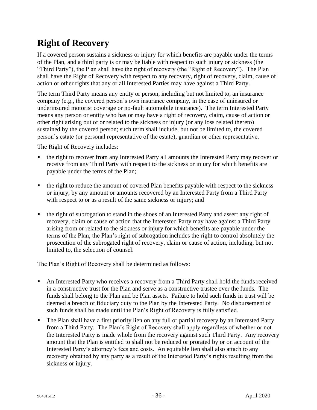# <span id="page-38-0"></span>**Right of Recovery**

If a covered person sustains a sickness or injury for which benefits are payable under the terms of the Plan, and a third party is or may be liable with respect to such injury or sickness (the "Third Party"), the Plan shall have the right of recovery (the "Right of Recovery"). The Plan shall have the Right of Recovery with respect to any recovery, right of recovery, claim, cause of action or other rights that any or all Interested Parties may have against a Third Party.

The term Third Party means any entity or person, including but not limited to, an insurance company (e.g., the covered person's own insurance company, in the case of uninsured or underinsured motorist coverage or no-fault automobile insurance). The term Interested Party means any person or entity who has or may have a right of recovery, claim, cause of action or other right arising out of or related to the sickness or injury (or any loss related thereto) sustained by the covered person; such term shall include, but not be limited to, the covered person's estate (or personal representative of the estate), guardian or other representative.

The Right of Recovery includes:

- the right to recover from any Interested Party all amounts the Interested Party may recover or receive from any Third Party with respect to the sickness or injury for which benefits are payable under the terms of the Plan;
- the right to reduce the amount of covered Plan benefits payable with respect to the sickness or injury, by any amount or amounts recovered by an Interested Party from a Third Party with respect to or as a result of the same sickness or injury; and
- the right of subrogation to stand in the shoes of an Interested Party and assert any right of recovery, claim or cause of action that the Interested Party may have against a Third Party arising from or related to the sickness or injury for which benefits are payable under the terms of the Plan; the Plan's right of subrogation includes the right to control absolutely the prosecution of the subrogated right of recovery, claim or cause of action, including, but not limited to, the selection of counsel.

The Plan's Right of Recovery shall be determined as follows:

- An Interested Party who receives a recovery from a Third Party shall hold the funds received in a constructive trust for the Plan and serve as a constructive trustee over the funds. The funds shall belong to the Plan and be Plan assets. Failure to hold such funds in trust will be deemed a breach of fiduciary duty to the Plan by the Interested Party. No disbursement of such funds shall be made until the Plan's Right of Recovery is fully satisfied.
- **•** The Plan shall have a first priority lien on any full or partial recovery by an Interested Party from a Third Party. The Plan's Right of Recovery shall apply regardless of whether or not the Interested Party is made whole from the recovery against such Third Party. Any recovery amount that the Plan is entitled to shall not be reduced or prorated by or on account of the Interested Party's attorney's fees and costs. An equitable lien shall also attach to any recovery obtained by any party as a result of the Interested Party's rights resulting from the sickness or injury.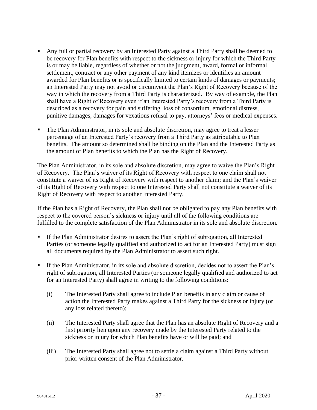- Any full or partial recovery by an Interested Party against a Third Party shall be deemed to be recovery for Plan benefits with respect to the sickness or injury for which the Third Party is or may be liable, regardless of whether or not the judgment, award, formal or informal settlement, contract or any other payment of any kind itemizes or identifies an amount awarded for Plan benefits or is specifically limited to certain kinds of damages or payments; an Interested Party may not avoid or circumvent the Plan's Right of Recovery because of the way in which the recovery from a Third Party is characterized. By way of example, the Plan shall have a Right of Recovery even if an Interested Party's recovery from a Third Party is described as a recovery for pain and suffering, loss of consortium, emotional distress, punitive damages, damages for vexatious refusal to pay, attorneys' fees or medical expenses.
- The Plan Administrator, in its sole and absolute discretion, may agree to treat a lesser percentage of an Interested Party's recovery from a Third Party as attributable to Plan benefits. The amount so determined shall be binding on the Plan and the Interested Party as the amount of Plan benefits to which the Plan has the Right of Recovery.

The Plan Administrator, in its sole and absolute discretion, may agree to waive the Plan's Right of Recovery. The Plan's waiver of its Right of Recovery with respect to one claim shall not constitute a waiver of its Right of Recovery with respect to another claim; and the Plan's waiver of its Right of Recovery with respect to one Interested Party shall not constitute a waiver of its Right of Recovery with respect to another Interested Party.

If the Plan has a Right of Recovery, the Plan shall not be obligated to pay any Plan benefits with respect to the covered person's sickness or injury until all of the following conditions are fulfilled to the complete satisfaction of the Plan Administrator in its sole and absolute discretion.

- **If the Plan Administrator desires to assert the Plan's right of subrogation, all Interested** Parties (or someone legally qualified and authorized to act for an Interested Party) must sign all documents required by the Plan Administrator to assert such right.
- If the Plan Administrator, in its sole and absolute discretion, decides not to assert the Plan's right of subrogation, all Interested Parties (or someone legally qualified and authorized to act for an Interested Party) shall agree in writing to the following conditions:
	- (i) The Interested Party shall agree to include Plan benefits in any claim or cause of action the Interested Party makes against a Third Party for the sickness or injury (or any loss related thereto);
	- (ii) The Interested Party shall agree that the Plan has an absolute Right of Recovery and a first priority lien upon any recovery made by the Interested Party related to the sickness or injury for which Plan benefits have or will be paid; and
	- (iii) The Interested Party shall agree not to settle a claim against a Third Party without prior written consent of the Plan Administrator.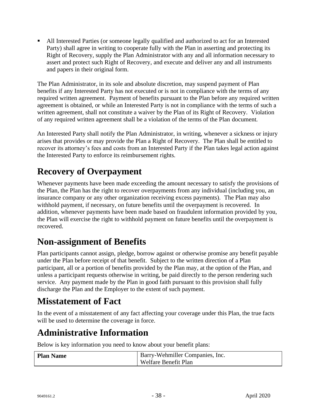All Interested Parties (or someone legally qualified and authorized to act for an Interested Party) shall agree in writing to cooperate fully with the Plan in asserting and protecting its Right of Recovery, supply the Plan Administrator with any and all information necessary to assert and protect such Right of Recovery, and execute and deliver any and all instruments and papers in their original form.

The Plan Administrator, in its sole and absolute discretion, may suspend payment of Plan benefits if any Interested Party has not executed or is not in compliance with the terms of any required written agreement. Payment of benefits pursuant to the Plan before any required written agreement is obtained, or while an Interested Party is not in compliance with the terms of such a written agreement, shall not constitute a waiver by the Plan of its Right of Recovery. Violation of any required written agreement shall be a violation of the terms of the Plan document.

An Interested Party shall notify the Plan Administrator, in writing, whenever a sickness or injury arises that provides or may provide the Plan a Right of Recovery. The Plan shall be entitled to recover its attorney's fees and costs from an Interested Party if the Plan takes legal action against the Interested Party to enforce its reimbursement rights.

# <span id="page-40-0"></span>**Recovery of Overpayment**

Whenever payments have been made exceeding the amount necessary to satisfy the provisions of the Plan, the Plan has the right to recover overpayments from any individual (including you, an insurance company or any other organization receiving excess payments). The Plan may also withhold payment, if necessary, on future benefits until the overpayment is recovered. In addition, whenever payments have been made based on fraudulent information provided by you, the Plan will exercise the right to withhold payment on future benefits until the overpayment is recovered.

## <span id="page-40-1"></span>**Non-assignment of Benefits**

Plan participants cannot assign, pledge, borrow against or otherwise promise any benefit payable under the Plan before receipt of that benefit. Subject to the written direction of a Plan participant, all or a portion of benefits provided by the Plan may, at the option of the Plan, and unless a participant requests otherwise in writing, be paid directly to the person rendering such service. Any payment made by the Plan in good faith pursuant to this provision shall fully discharge the Plan and the Employer to the extent of such payment.

# <span id="page-40-2"></span>**Misstatement of Fact**

In the event of a misstatement of any fact affecting your coverage under this Plan, the true facts will be used to determine the coverage in force.

# <span id="page-40-3"></span>**Administrative Information**

Below is key information you need to know about your benefit plans:

| <b>Plan Name</b> | Barry-Wehmiller Companies, Inc. |
|------------------|---------------------------------|
|                  | Welfare Benefit Plan            |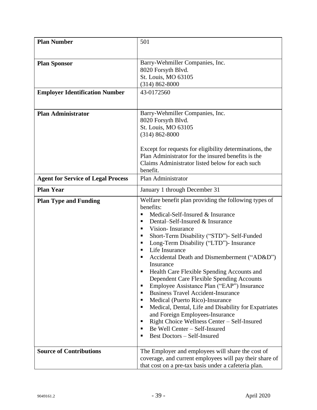| <b>Plan Number</b>                        | 501                                                            |
|-------------------------------------------|----------------------------------------------------------------|
|                                           |                                                                |
| <b>Plan Sponsor</b>                       | Barry-Wehmiller Companies, Inc.                                |
|                                           | 8020 Forsyth Blvd.                                             |
|                                           | St. Louis, MO 63105                                            |
|                                           | $(314) 862 - 8000$                                             |
| <b>Employer Identification Number</b>     | 43-0172560                                                     |
|                                           |                                                                |
| <b>Plan Administrator</b>                 | Barry-Wehmiller Companies, Inc.                                |
|                                           | 8020 Forsyth Blvd.                                             |
|                                           | St. Louis, MO 63105                                            |
|                                           | $(314) 862 - 8000$                                             |
|                                           | Except for requests for eligibility determinations, the        |
|                                           | Plan Administrator for the insured benefits is the             |
|                                           | Claims Administrator listed below for each such                |
|                                           | benefit.                                                       |
| <b>Agent for Service of Legal Process</b> | Plan Administrator                                             |
| <b>Plan Year</b>                          | January 1 through December 31                                  |
| <b>Plan Type and Funding</b>              | Welfare benefit plan providing the following types of          |
|                                           | benefits:                                                      |
|                                           | Medical-Self-Insured & Insurance                               |
|                                           | Dental-Self-Insured & Insurance<br>п                           |
|                                           | Vision-Insurance<br>$\blacksquare$                             |
|                                           | Short-Term Disability ("STD")- Self-Funded<br>п<br>п           |
|                                           | Long-Term Disability ("LTD")- Insurance<br>Life Insurance<br>٠ |
|                                           | Accidental Death and Dismemberment ("AD&D")                    |
|                                           | Insurance                                                      |
|                                           | Health Care Flexible Spending Accounts and<br>п                |
|                                           | Dependent Care Flexible Spending Accounts                      |
|                                           | Employee Assistance Plan ("EAP") Insurance<br>п                |
|                                           | <b>Business Travel Accident-Insurance</b><br>п                 |
|                                           | Medical (Puerto Rico)-Insurance<br>п                           |
|                                           | Medical, Dental, Life and Disability for Expatriates<br>п      |
|                                           | and Foreign Employees-Insurance                                |
|                                           | Right Choice Wellness Center - Self-Insured<br>п               |
|                                           | Be Well Center - Self-Insured<br>п<br>п                        |
|                                           | <b>Best Doctors - Self-Insured</b>                             |
| <b>Source of Contributions</b>            | The Employer and employees will share the cost of              |
|                                           | coverage, and current employees will pay their share of        |
|                                           | that cost on a pre-tax basis under a cafeteria plan.           |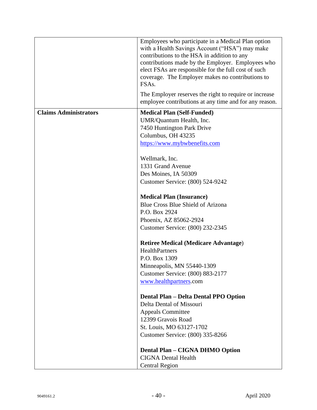|                              | Employees who participate in a Medical Plan option<br>with a Health Savings Account ("HSA") may make<br>contributions to the HSA in addition to any<br>contributions made by the Employer. Employees who<br>elect FSAs are responsible for the full cost of such |
|------------------------------|------------------------------------------------------------------------------------------------------------------------------------------------------------------------------------------------------------------------------------------------------------------|
|                              | coverage. The Employer makes no contributions to<br>FSA <sub>s</sub> .                                                                                                                                                                                           |
|                              | The Employer reserves the right to require or increase<br>employee contributions at any time and for any reason.                                                                                                                                                 |
| <b>Claims Administrators</b> | <b>Medical Plan (Self-Funded)</b>                                                                                                                                                                                                                                |
|                              | UMR/Quantum Health, Inc.                                                                                                                                                                                                                                         |
|                              | 7450 Huntington Park Drive                                                                                                                                                                                                                                       |
|                              | Columbus, OH 43235                                                                                                                                                                                                                                               |
|                              | https://www.mybwbenefits.com                                                                                                                                                                                                                                     |
|                              | Wellmark, Inc.                                                                                                                                                                                                                                                   |
|                              | 1331 Grand Avenue                                                                                                                                                                                                                                                |
|                              | Des Moines, IA 50309                                                                                                                                                                                                                                             |
|                              | Customer Service: (800) 524-9242                                                                                                                                                                                                                                 |
|                              | <b>Medical Plan (Insurance)</b>                                                                                                                                                                                                                                  |
|                              | Blue Cross Blue Shield of Arizona                                                                                                                                                                                                                                |
|                              | P.O. Box 2924                                                                                                                                                                                                                                                    |
|                              | Phoenix, AZ 85062-2924                                                                                                                                                                                                                                           |
|                              | Customer Service: (800) 232-2345                                                                                                                                                                                                                                 |
|                              | <b>Retiree Medical (Medicare Advantage)</b>                                                                                                                                                                                                                      |
|                              | HealthPartners                                                                                                                                                                                                                                                   |
|                              | P.O. Box 1309                                                                                                                                                                                                                                                    |
|                              | Minneapolis, MN 55440-1309                                                                                                                                                                                                                                       |
|                              | Customer Service: (800) 883-2177                                                                                                                                                                                                                                 |
|                              | www.healthpartners.com                                                                                                                                                                                                                                           |
|                              | Dental Plan - Delta Dental PPO Option                                                                                                                                                                                                                            |
|                              | Delta Dental of Missouri                                                                                                                                                                                                                                         |
|                              | <b>Appeals Committee</b>                                                                                                                                                                                                                                         |
|                              | 12399 Gravois Road                                                                                                                                                                                                                                               |
|                              | St. Louis, MO 63127-1702                                                                                                                                                                                                                                         |
|                              | Customer Service: (800) 335-8266                                                                                                                                                                                                                                 |
|                              | Dental Plan - CIGNA DHMO Option                                                                                                                                                                                                                                  |
|                              | <b>CIGNA Dental Health</b>                                                                                                                                                                                                                                       |
|                              | <b>Central Region</b>                                                                                                                                                                                                                                            |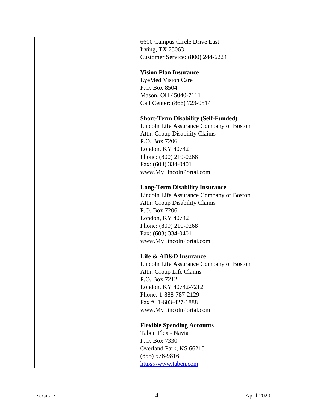| 6600 Campus Circle Drive East              |
|--------------------------------------------|
| <b>Irving, TX 75063</b>                    |
| Customer Service: (800) 244-6224           |
|                                            |
| <b>Vision Plan Insurance</b>               |
| <b>EyeMed Vision Care</b>                  |
| P.O. Box 8504                              |
| Mason, OH 45040-7111                       |
| Call Center: (866) 723-0514                |
|                                            |
| <b>Short-Term Disability (Self-Funded)</b> |
| Lincoln Life Assurance Company of Boston   |
| <b>Attn: Group Disability Claims</b>       |
| P.O. Box 7206                              |
| London, KY 40742                           |
| Phone: (800) 210-0268                      |
| Fax: (603) 334-0401                        |
| www.MyLincolnPortal.com                    |
|                                            |
| <b>Long-Term Disability Insurance</b>      |
| Lincoln Life Assurance Company of Boston   |
| <b>Attn: Group Disability Claims</b>       |
| P.O. Box 7206                              |
| London, KY 40742                           |
| Phone: (800) 210-0268                      |
| Fax: (603) 334-0401                        |
| www.MyLincolnPortal.com                    |
|                                            |
| Life & AD&D Insurance                      |
| Lincoln Life Assurance Company of Boston   |
| Attn: Group Life Claims                    |
| P.O. Box 7212                              |
| London, KY 40742-7212                      |
| Phone: 1-888-787-2129                      |
| Fax #: 1-603-427-1888                      |
| www.MyLincolnPortal.com                    |
|                                            |
| <b>Flexible Spending Accounts</b>          |
| Taben Flex - Navia                         |
| P.O. Box 7330                              |
| Overland Park, KS 66210                    |
| $(855) 576-9816$                           |
| https://www.taben.com                      |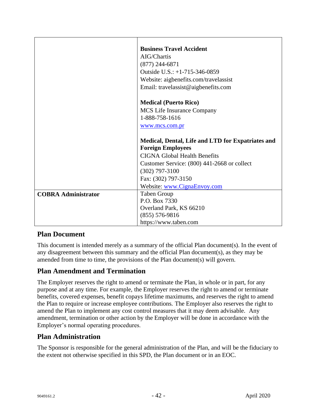|                            | <b>Business Travel Accident</b>                   |
|----------------------------|---------------------------------------------------|
|                            | AIG/Chartis                                       |
|                            | $(877)$ 244-6871                                  |
|                            | Outside U.S.: +1-715-346-0859                     |
|                            | Website: aigbenefits.com/travelassist             |
|                            | Email: travelassist@aigbenefits.com               |
|                            |                                                   |
|                            | <b>Medical (Puerto Rico)</b>                      |
|                            | <b>MCS</b> Life Insurance Company                 |
|                            | 1-888-758-1616                                    |
|                            | www.mcs.com.pr                                    |
|                            |                                                   |
|                            | Medical, Dental, Life and LTD for Expatriates and |
|                            | <b>Foreign Employees</b>                          |
|                            | <b>CIGNA Global Health Benefits</b>               |
|                            | Customer Service: (800) 441-2668 or collect       |
|                            | $(302)$ 797-3100                                  |
|                            | Fax: (302) 797-3150                               |
|                            | Website: www.CignaEnvoy.com                       |
| <b>COBRA Administrator</b> | Taben Group                                       |
|                            | P.O. Box 7330                                     |
|                            | Overland Park, KS 66210                           |
|                            | $(855) 576-9816$                                  |
|                            | https://www.taben.com                             |

### <span id="page-44-0"></span>**Plan Document**

This document is intended merely as a summary of the official Plan document(s). In the event of any disagreement between this summary and the official Plan document(s), as they may be amended from time to time, the provisions of the Plan document(s) will govern.

### <span id="page-44-1"></span>**Plan Amendment and Termination**

The Employer reserves the right to amend or terminate the Plan, in whole or in part, for any purpose and at any time. For example, the Employer reserves the right to amend or terminate benefits, covered expenses, benefit copays lifetime maximums, and reserves the right to amend the Plan to require or increase employee contributions. The Employer also reserves the right to amend the Plan to implement any cost control measures that it may deem advisable. Any amendment, termination or other action by the Employer will be done in accordance with the Employer's normal operating procedures.

### <span id="page-44-2"></span>**Plan Administration**

The Sponsor is responsible for the general administration of the Plan, and will be the fiduciary to the extent not otherwise specified in this SPD, the Plan document or in an EOC.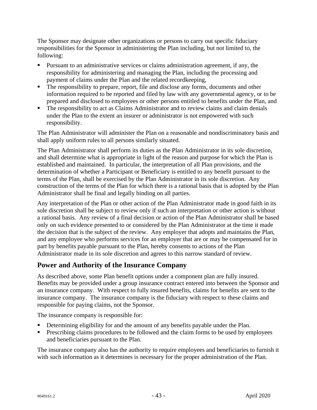The Sponsor may designate other organizations or persons to carry out specific fiduciary responsibilities for the Sponsor in administering the Plan including, but not limited to, the following:

- Pursuant to an administrative services or claims administration agreement, if any, the responsibility for administering and managing the Plan, including the processing and payment of claims under the Plan and the related recordkeeping,
- The responsibility to prepare, report, file and disclose any forms, documents and other information required to be reported and filed by law with any governmental agency, or to be prepared and disclosed to employees or other persons entitled to benefits under the Plan, and
- The responsibility to act as Claims Administrator and to review claims and claim denials under the Plan to the extent an insurer or administrator is not empowered with such responsibility.

The Plan Administrator will administer the Plan on a reasonable and nondiscriminatory basis and shall apply uniform rules to all persons similarly situated.

The Plan Administrator shall perform its duties as the Plan Administrator in its sole discretion, and shall determine what is appropriate in light of the reason and purpose for which the Plan is established and maintained. In particular, the interpretation of all Plan provisions, and the determination of whether a Participant or Beneficiary is entitled to any benefit pursuant to the terms of the Plan, shall be exercised by the Plan Administrator in its sole discretion. Any construction of the terms of the Plan for which there is a rational basis that is adopted by the Plan Administrator shall be final and legally binding on all parties.

Any interpretation of the Plan or other action of the Plan Administrator made in good faith in its sole discretion shall be subject to review only if such an interpretation or other action is without a rational basis. Any review of a final decision or action of the Plan Administrator shall be based only on such evidence presented to or considered by the Plan Administrator at the time it made the decision that is the subject of the review. Any employer that adopts and maintains the Plan, and any employee who performs services for an employer that are or may be compensated for in part by benefits payable pursuant to the Plan, hereby consents to actions of the Plan Administrator made in its sole discretion and agrees to this narrow standard of review.

### <span id="page-45-0"></span>**Power and Authority of the Insurance Company**

As described above, some Plan benefit options under a component plan are fully insured. Benefits may be provided under a group insurance contract entered into between the Sponsor and an insurance company. With respect to fully insured benefits, claims for benefits are sent to the insurance company. The insurance company is the fiduciary with respect to these claims and responsible for paying claims, not the Sponsor.

The insurance company is responsible for:

- Determining eligibility for and the amount of any benefits payable under the Plan.
- Prescribing claims procedures to be followed and the claim forms to be used by employees and beneficiaries pursuant to the Plan.

The insurance company also has the authority to require employees and beneficiaries to furnish it with such information as it determines is necessary for the proper administration of the Plan.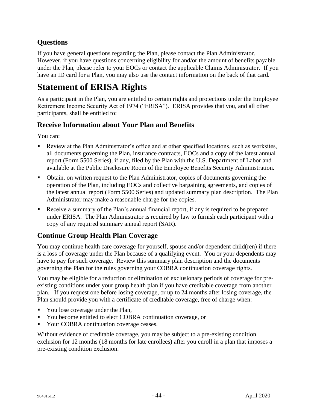## <span id="page-46-0"></span>**Questions**

If you have general questions regarding the Plan, please contact the Plan Administrator. However, if you have questions concerning eligibility for and/or the amount of benefits payable under the Plan, please refer to your EOCs or contact the applicable Claims Administrator. If you have an ID card for a Plan, you may also use the contact information on the back of that card.

# <span id="page-46-1"></span>**Statement of ERISA Rights**

As a participant in the Plan, you are entitled to certain rights and protections under the Employee Retirement Income Security Act of 1974 ("ERISA"). ERISA provides that you, and all other participants, shall be entitled to:

### <span id="page-46-2"></span>**Receive Information about Your Plan and Benefits**

You can:

- Review at the Plan Administrator's office and at other specified locations, such as worksites, all documents governing the Plan, insurance contracts, EOCs and a copy of the latest annual report (Form 5500 Series), if any, filed by the Plan with the U.S. Department of Labor and available at the Public Disclosure Room of the Employee Benefits Security Administration.
- Obtain, on written request to the Plan Administrator, copies of documents governing the operation of the Plan, including EOCs and collective bargaining agreements, and copies of the latest annual report (Form 5500 Series) and updated summary plan description. The Plan Administrator may make a reasonable charge for the copies.
- Receive a summary of the Plan's annual financial report, if any is required to be prepared under ERISA. The Plan Administrator is required by law to furnish each participant with a copy of any required summary annual report (SAR).

## <span id="page-46-3"></span>**Continue Group Health Plan Coverage**

You may continue health care coverage for yourself, spouse and/or dependent child(ren) if there is a loss of coverage under the Plan because of a qualifying event. You or your dependents may have to pay for such coverage. Review this summary plan description and the documents governing the Plan for the rules governing your COBRA continuation coverage rights.

You may be eligible for a reduction or elimination of exclusionary periods of coverage for preexisting conditions under your group health plan if you have creditable coverage from another plan. If you request one before losing coverage, or up to 24 months after losing coverage, the Plan should provide you with a certificate of creditable coverage, free of charge when:

- You lose coverage under the Plan,
- You become entitled to elect COBRA continuation coverage, or
- Your COBRA continuation coverage ceases.

Without evidence of creditable coverage, you may be subject to a pre-existing condition exclusion for 12 months (18 months for late enrollees) after you enroll in a plan that imposes a pre-existing condition exclusion.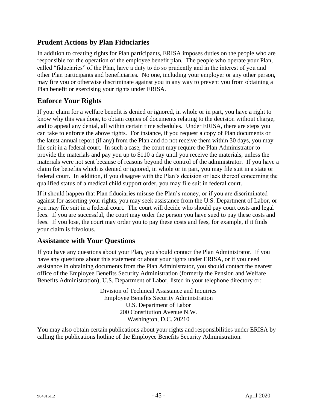## <span id="page-47-0"></span>**Prudent Actions by Plan Fiduciaries**

In addition to creating rights for Plan participants, ERISA imposes duties on the people who are responsible for the operation of the employee benefit plan. The people who operate your Plan, called "fiduciaries" of the Plan, have a duty to do so prudently and in the interest of you and other Plan participants and beneficiaries. No one, including your employer or any other person, may fire you or otherwise discriminate against you in any way to prevent you from obtaining a Plan benefit or exercising your rights under ERISA.

### <span id="page-47-1"></span>**Enforce Your Rights**

If your claim for a welfare benefit is denied or ignored, in whole or in part, you have a right to know why this was done, to obtain copies of documents relating to the decision without charge, and to appeal any denial, all within certain time schedules. Under ERISA, there are steps you can take to enforce the above rights. For instance, if you request a copy of Plan documents or the latest annual report (if any) from the Plan and do not receive them within 30 days, you may file suit in a federal court. In such a case, the court may require the Plan Administrator to provide the materials and pay you up to \$110 a day until you receive the materials, unless the materials were not sent because of reasons beyond the control of the administrator. If you have a claim for benefits which is denied or ignored, in whole or in part, you may file suit in a state or federal court. In addition, if you disagree with the Plan's decision or lack thereof concerning the qualified status of a medical child support order, you may file suit in federal court.

If it should happen that Plan fiduciaries misuse the Plan's money, or if you are discriminated against for asserting your rights, you may seek assistance from the U.S. Department of Labor, or you may file suit in a federal court. The court will decide who should pay court costs and legal fees. If you are successful, the court may order the person you have sued to pay these costs and fees. If you lose, the court may order you to pay these costs and fees, for example, if it finds your claim is frivolous.

### <span id="page-47-2"></span>**Assistance with Your Questions**

If you have any questions about your Plan, you should contact the Plan Administrator. If you have any questions about this statement or about your rights under ERISA, or if you need assistance in obtaining documents from the Plan Administrator, you should contact the nearest office of the Employee Benefits Security Administration (formerly the Pension and Welfare Benefits Administration), U.S. Department of Labor, listed in your telephone directory or:

> Division of Technical Assistance and Inquiries Employee Benefits Security Administration U.S. Department of Labor 200 Constitution Avenue N.W. Washington, D.C. 20210

You may also obtain certain publications about your rights and responsibilities under ERISA by calling the publications hotline of the Employee Benefits Security Administration.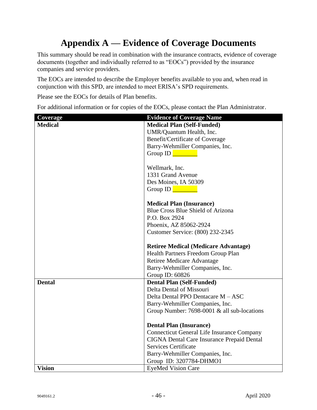# **Appendix A — Evidence of Coverage Documents**

<span id="page-48-0"></span>This summary should be read in combination with the insurance contracts, evidence of coverage documents (together and individually referred to as "EOCs") provided by the insurance companies and service providers.

The EOCs are intended to describe the Employer benefits available to you and, when read in conjunction with this SPD, are intended to meet ERISA's SPD requirements.

Please see the EOCs for details of Plan benefits.

For additional information or for copies of the EOCs, please contact the Plan Administrator.

| Coverage       | <b>Evidence of Coverage Name</b>                  |
|----------------|---------------------------------------------------|
| <b>Medical</b> | <b>Medical Plan (Self-Funded)</b>                 |
|                | UMR/Quantum Health, Inc.                          |
|                | Benefit/Certificate of Coverage                   |
|                | Barry-Wehmiller Companies, Inc.                   |
|                | Group ID                                          |
|                |                                                   |
|                | Wellmark, Inc.                                    |
|                | 1331 Grand Avenue                                 |
|                | Des Moines, IA 50309                              |
|                | Group ID                                          |
|                |                                                   |
|                | <b>Medical Plan (Insurance)</b>                   |
|                | Blue Cross Blue Shield of Arizona                 |
|                | P.O. Box 2924                                     |
|                | Phoenix, AZ 85062-2924                            |
|                | Customer Service: (800) 232-2345                  |
|                |                                                   |
|                | <b>Retiree Medical (Medicare Advantage)</b>       |
|                | Health Partners Freedom Group Plan                |
|                | Retiree Medicare Advantage                        |
|                | Barry-Wehmiller Companies, Inc.                   |
|                | Group ID: 60826                                   |
| <b>Dental</b>  | <b>Dental Plan (Self-Funded)</b>                  |
|                | Delta Dental of Missouri                          |
|                | Delta Dental PPO Dentacare M - ASC                |
|                | Barry-Wehmiller Companies, Inc.                   |
|                | Group Number: 7698-0001 & all sub-locations       |
|                |                                                   |
|                | <b>Dental Plan (Insurance)</b>                    |
|                | <b>Connecticut General Life Insurance Company</b> |
|                | CIGNA Dental Care Insurance Prepaid Dental        |
|                | <b>Services Certificate</b>                       |
|                | Barry-Wehmiller Companies, Inc.                   |
|                | Group ID: 3207784-DHMO1                           |
| <b>Vision</b>  | <b>EyeMed Vision Care</b>                         |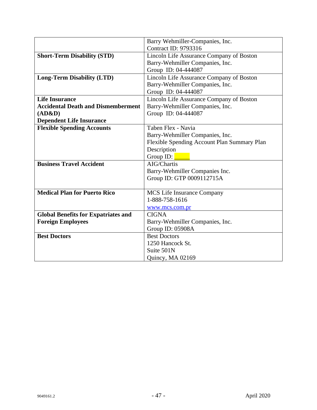|                                            | Barry Wehmiller-Companies, Inc.             |
|--------------------------------------------|---------------------------------------------|
|                                            | <b>Contract ID: 9793316</b>                 |
| <b>Short-Term Disability (STD)</b>         | Lincoln Life Assurance Company of Boston    |
|                                            | Barry-Wehmiller Companies, Inc.             |
|                                            | Group ID: 04-444087                         |
| <b>Long-Term Disability (LTD)</b>          | Lincoln Life Assurance Company of Boston    |
|                                            | Barry-Wehmiller Companies, Inc.             |
|                                            | Group ID: 04-444087                         |
| <b>Life Insurance</b>                      | Lincoln Life Assurance Company of Boston    |
| <b>Accidental Death and Dismemberment</b>  | Barry-Wehmiller Companies, Inc.             |
| (AD&D)                                     | Group ID: 04-444087                         |
| <b>Dependent Life Insurance</b>            |                                             |
| <b>Flexible Spending Accounts</b>          | Taben Flex - Navia                          |
|                                            | Barry-Wehmiller Companies, Inc.             |
|                                            | Flexible Spending Account Plan Summary Plan |
|                                            | Description                                 |
|                                            | Group ID:                                   |
| <b>Business Travel Accident</b>            | AIG/Chartis                                 |
|                                            | Barry-Wehmiller Companies Inc.              |
|                                            | Group ID: GTP 0009112715A                   |
|                                            |                                             |
| <b>Medical Plan for Puerto Rico</b>        | MCS Life Insurance Company                  |
|                                            | 1-888-758-1616                              |
|                                            | www.mcs.com.pr                              |
| <b>Global Benefits for Expatriates and</b> | <b>CIGNA</b>                                |
| <b>Foreign Employees</b>                   | Barry-Wehmiller Companies, Inc.             |
|                                            | Group ID: 05908A                            |
| <b>Best Doctors</b>                        | <b>Best Doctors</b>                         |
|                                            | 1250 Hancock St.                            |
|                                            | Suite 501N                                  |
|                                            | Quincy, MA 02169                            |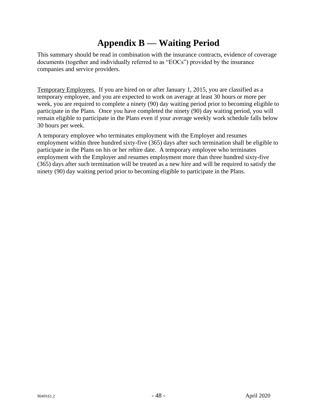# **Appendix B — Waiting Period**

<span id="page-50-0"></span>This summary should be read in combination with the insurance contracts, evidence of coverage documents (together and individually referred to as "EOCs") provided by the insurance companies and service providers.

Temporary Employees. If you are hired on or after January 1, 2015, you are classified as a temporary employee, and you are expected to work on average at least 30 hours or more per week, you are required to complete a ninety (90) day waiting period prior to becoming eligible to participate in the Plans. Once you have completed the ninety (90) day waiting period, you will remain eligible to participate in the Plans even if your average weekly work schedule falls below 30 hours per week.

A temporary employee who terminates employment with the Employer and resumes employment within three hundred sixty-five (365) days after such termination shall be eligible to participate in the Plans on his or her rehire date. A temporary employee who terminates employment with the Employer and resumes employment more than three hundred sixty-five (365) days after such termination will be treated as a new hire and will be required to satisfy the ninety (90) day waiting period prior to becoming eligible to participate in the Plans.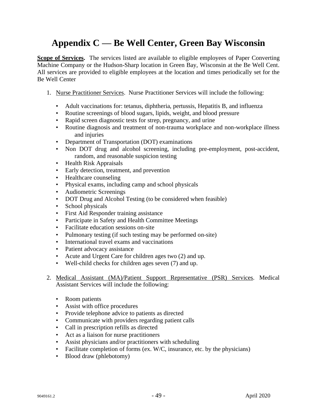# <span id="page-51-0"></span>**Appendix C — Be Well Center, Green Bay Wisconsin**

**Scope of Services.** The services listed are available to eligible employees of Paper Converting Machine Company or the Hudson-Sharp location in Green Bay, Wisconsin at the Be Well Cent. All services are provided to eligible employees at the location and times periodically set for the Be Well Center

- 1. Nurse Practitioner Services. Nurse Practitioner Services will include the following:
	- Adult vaccinations for: tetanus, diphtheria, pertussis, Hepatitis B, and influenza
	- Routine screenings of blood sugars, lipids, weight, and blood pressure
	- Rapid screen diagnostic tests for strep, pregnancy, and urine
	- Routine diagnosis and treatment of non-trauma workplace and non-workplace illness and injuries
	- Department of Transportation (DOT) examinations
	- Non DOT drug and alcohol screening, including pre-employment, post-accident, random, and reasonable suspicion testing
	- Health Risk Appraisals
	- Early detection, treatment, and prevention
	- Healthcare counseling
	- Physical exams, including camp and school physicals
	- Audiometric Screenings
	- DOT Drug and Alcohol Testing (to be considered when feasible)
	- School physicals
	- First Aid Responder training assistance
	- Participate in Safety and Health Committee Meetings
	- Facilitate education sessions on-site
	- Pulmonary testing (if such testing may be performed on-site)
	- International travel exams and vaccinations
	- Patient advocacy assistance
	- Acute and Urgent Care for children ages two (2) and up.
	- Well-child checks for children ages seven (7) and up.
- 2. Medical Assistant (MA)/Patient Support Representative (PSR) Services. Medical Assistant Services will include the following:
	- Room patients
	- Assist with office procedures
	- Provide telephone advice to patients as directed
	- Communicate with providers regarding patient calls
	- Call in prescription refills as directed
	- Act as a liaison for nurse practitioners
	- Assist physicians and/or practitioners with scheduling
	- Facilitate completion of forms (ex. W/C, insurance, etc. by the physicians)
	- Blood draw (phlebotomy)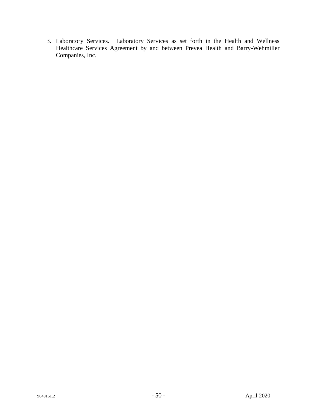3. Laboratory Services. Laboratory Services as set forth in the Health and Wellness Healthcare Services Agreement by and between Prevea Health and Barry-Wehmiller Companies, Inc.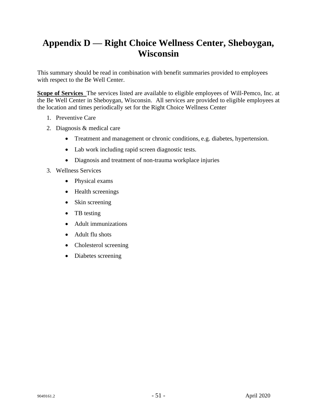# <span id="page-53-0"></span>**Appendix D — Right Choice Wellness Center, Sheboygan, Wisconsin**

This summary should be read in combination with benefit summaries provided to employees with respect to the Be Well Center.

**Scope of Services** The services listed are available to eligible employees of Will-Pemco, Inc. at the Be Well Center in Sheboygan, Wisconsin. All services are provided to eligible employees at the location and times periodically set for the Right Choice Wellness Center

- 1. Preventive Care
- 2. Diagnosis & medical care
	- Treatment and management or chronic conditions, e.g. diabetes, hypertension.
	- Lab work including rapid screen diagnostic tests.
	- Diagnosis and treatment of non-trauma workplace injuries
- 3. Wellness Services
	- Physical exams
	- Health screenings
	- Skin screening
	- TB testing
	- Adult immunizations
	- Adult flu shots
	- Cholesterol screening
	- Diabetes screening